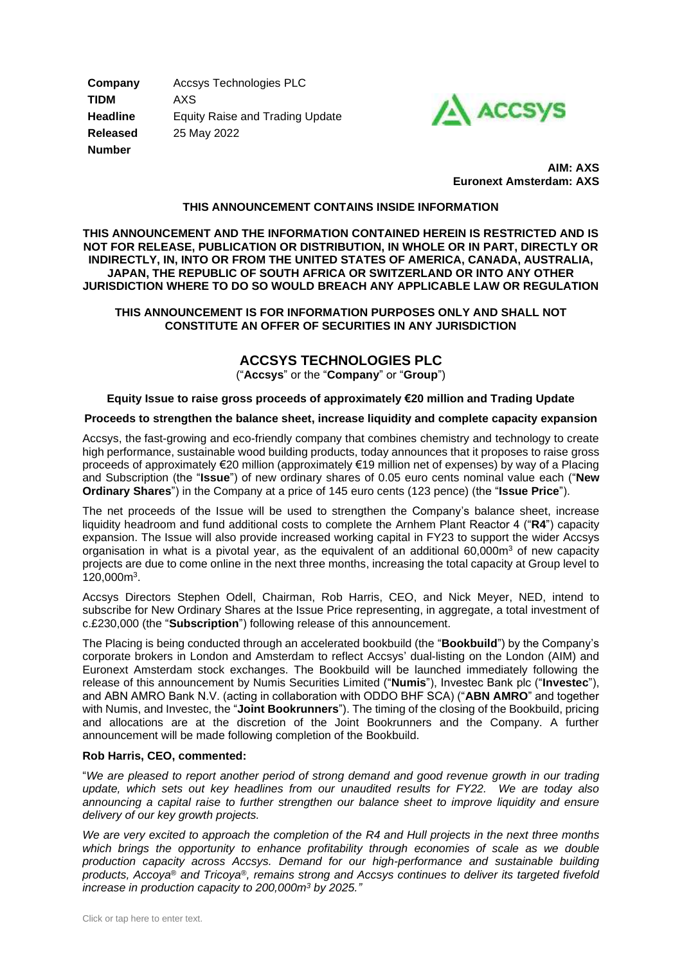**Company** Accsys Technologies PLC **TIDM** AXS **Headline** Equity Raise and Trading Update **Released** 25 May 2022 **Number**



 **AIM: AXS Euronext Amsterdam: AXS** 

### **THIS ANNOUNCEMENT CONTAINS INSIDE INFORMATION**

**THIS ANNOUNCEMENT AND THE INFORMATION CONTAINED HEREIN IS RESTRICTED AND IS NOT FOR RELEASE, PUBLICATION OR DISTRIBUTION, IN WHOLE OR IN PART, DIRECTLY OR INDIRECTLY, IN, INTO OR FROM THE UNITED STATES OF AMERICA, CANADA, AUSTRALIA, JAPAN, THE REPUBLIC OF SOUTH AFRICA OR SWITZERLAND OR INTO ANY OTHER JURISDICTION WHERE TO DO SO WOULD BREACH ANY APPLICABLE LAW OR REGULATION**

### **THIS ANNOUNCEMENT IS FOR INFORMATION PURPOSES ONLY AND SHALL NOT CONSTITUTE AN OFFER OF SECURITIES IN ANY JURISDICTION**

# **ACCSYS TECHNOLOGIES PLC**

("**Accsys**" or the "**Company**" or "**Group**")

### **Equity Issue to raise gross proceeds of approximately €20 million and Trading Update**

#### **Proceeds to strengthen the balance sheet, increase liquidity and complete capacity expansion**

Accsys, the fast-growing and eco-friendly company that combines chemistry and technology to create high performance, sustainable wood building products, today announces that it proposes to raise gross proceeds of approximately €20 million (approximately €19 million net of expenses) by way of a Placing and Subscription (the "**Issue**") of new ordinary shares of 0.05 euro cents nominal value each ("**New Ordinary Shares**") in the Company at a price of 145 euro cents (123 pence) (the "**Issue Price**").

The net proceeds of the Issue will be used to strengthen the Company's balance sheet, increase liquidity headroom and fund additional costs to complete the Arnhem Plant Reactor 4 ("**R4**") capacity expansion. The Issue will also provide increased working capital in FY23 to support the wider Accsys organisation in what is a pivotal year, as the equivalent of an additional  $60,000m<sup>3</sup>$  of new capacity projects are due to come online in the next three months, increasing the total capacity at Group level to 120,000m<sup>3</sup> .

Accsys Directors Stephen Odell, Chairman, Rob Harris, CEO, and Nick Meyer, NED, intend to subscribe for New Ordinary Shares at the Issue Price representing, in aggregate, a total investment of c.£230,000 (the "**Subscription**") following release of this announcement.

The Placing is being conducted through an accelerated bookbuild (the "**Bookbuild**") by the Company's corporate brokers in London and Amsterdam to reflect Accsys' dual-listing on the London (AIM) and Euronext Amsterdam stock exchanges. The Bookbuild will be launched immediately following the release of this announcement by Numis Securities Limited ("**Numis**"), Investec Bank plc ("**Investec**"), and ABN AMRO Bank N.V. (acting in collaboration with ODDO BHF SCA) ("**ABN AMRO**" and together with Numis, and Investec, the "**Joint Bookrunners**"). The timing of the closing of the Bookbuild, pricing and allocations are at the discretion of the Joint Bookrunners and the Company. A further announcement will be made following completion of the Bookbuild.

#### **Rob Harris, CEO, commented:**

"*We are pleased to report another period of strong demand and good revenue growth in our trading update, which sets out key headlines from our unaudited results for FY22. We are today also announcing a capital raise to further strengthen our balance sheet to improve liquidity and ensure delivery of our key growth projects.* 

*We are very excited to approach the completion of the R4 and Hull projects in the next three months which brings the opportunity to enhance profitability through economies of scale as we double production capacity across Accsys. Demand for our high-performance and sustainable building products, Accoya*® *and Tricoya*®*, remains strong and Accsys continues to deliver its targeted fivefold increase in production capacity to 200,000m<sup>3</sup> by 2025."*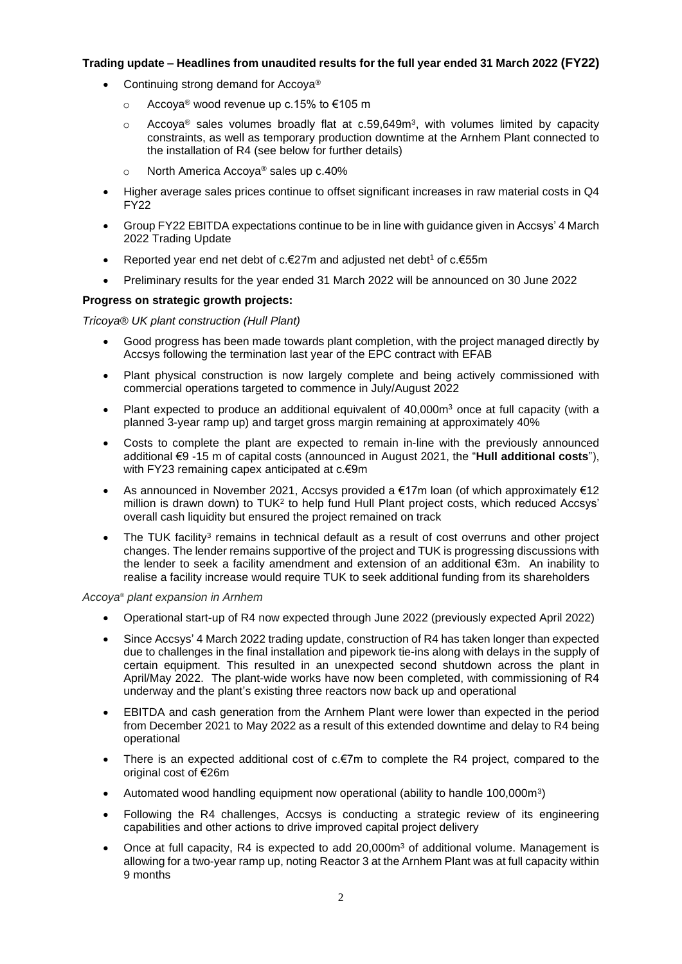# **Trading update – Headlines from unaudited results for the full year ended 31 March 2022 (FY22)**

- Continuing strong demand for Accova®
	- o Accoya® wood revenue up c.15% to €105 m
	- $\circ$  Accoya® sales volumes broadly flat at c.59,649m<sup>3</sup>, with volumes limited by capacity constraints, as well as temporary production downtime at the Arnhem Plant connected to the installation of R4 (see below for further details)
	- o North America Accoya® sales up c.40%
- Higher average sales prices continue to offset significant increases in raw material costs in Q4 FY22
- Group FY22 EBITDA expectations continue to be in line with guidance given in Accsys' 4 March 2022 Trading Update
- Reported year end net debt of c.€27m and adjusted net debt<sup>1</sup> of c.€55m
- Preliminary results for the year ended 31 March 2022 will be announced on 30 June 2022

# **Progress on strategic growth projects:**

*Tricoya® UK plant construction (Hull Plant)*

- Good progress has been made towards plant completion, with the project managed directly by Accsys following the termination last year of the EPC contract with EFAB
- Plant physical construction is now largely complete and being actively commissioned with commercial operations targeted to commence in July/August 2022
- Plant expected to produce an additional equivalent of  $40,000m<sup>3</sup>$  once at full capacity (with a planned 3-year ramp up) and target gross margin remaining at approximately 40%
- Costs to complete the plant are expected to remain in-line with the previously announced additional €9 -15 m of capital costs (announced in August 2021, the "**Hull additional costs**"), with FY23 remaining capex anticipated at c.€9m
- As announced in November 2021, Accsys provided a €17m loan (of which approximately €12 million is drawn down) to  $TUK<sup>2</sup>$  to help fund Hull Plant project costs, which reduced Accsys' overall cash liquidity but ensured the project remained on track
- The TUK facility<sup>3</sup> remains in technical default as a result of cost overruns and other project changes. The lender remains supportive of the project and TUK is progressing discussions with the lender to seek a facility amendment and extension of an additional €3m. An inability to realise a facility increase would require TUK to seek additional funding from its shareholders

# *Accoya® plant expansion in Arnhem*

- Operational start-up of R4 now expected through June 2022 (previously expected April 2022)
- Since Accsys' 4 March 2022 trading update, construction of R4 has taken longer than expected due to challenges in the final installation and pipework tie-ins along with delays in the supply of certain equipment. This resulted in an unexpected second shutdown across the plant in April/May 2022. The plant-wide works have now been completed, with commissioning of R4 underway and the plant's existing three reactors now back up and operational
- EBITDA and cash generation from the Arnhem Plant were lower than expected in the period from December 2021 to May 2022 as a result of this extended downtime and delay to R4 being operational
- There is an expected additional cost of  $c.\epsilon$ 7m to complete the R4 project, compared to the original cost of €26m
- Automated wood handling equipment now operational (ability to handle 100,000m<sup>3</sup>)
- Following the R4 challenges, Accsys is conducting a strategic review of its engineering capabilities and other actions to drive improved capital project delivery
- Once at full capacity, R4 is expected to add 20,000m<sup>3</sup> of additional volume. Management is allowing for a two-year ramp up, noting Reactor 3 at the Arnhem Plant was at full capacity within 9 months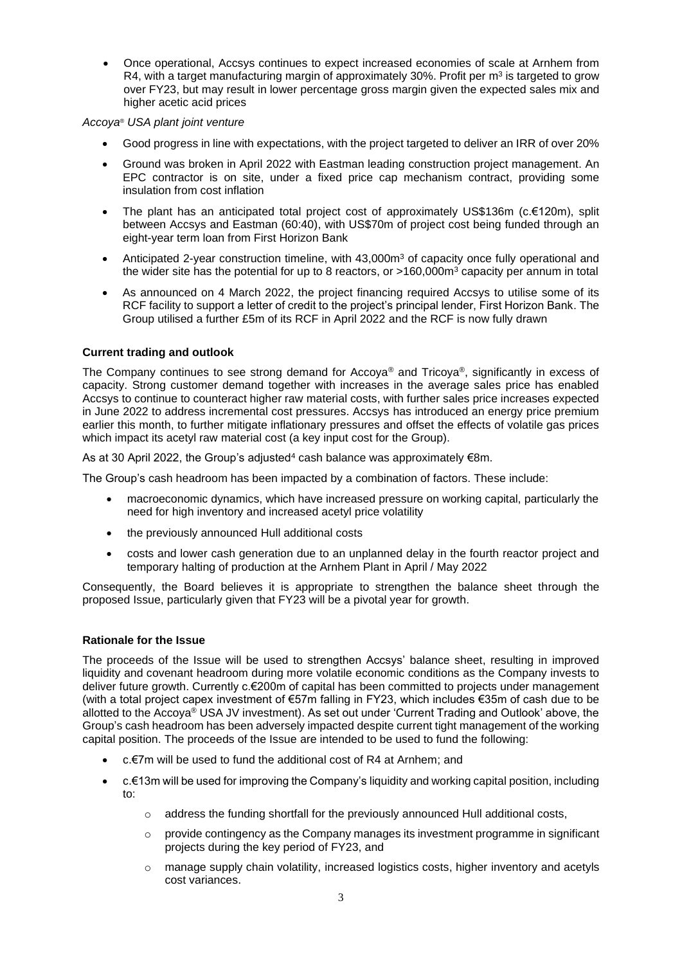• Once operational, Accsys continues to expect increased economies of scale at Arnhem from R4, with a target manufacturing margin of approximately 30%. Profit per  $m^3$  is targeted to grow over FY23, but may result in lower percentage gross margin given the expected sales mix and higher acetic acid prices

## *Accoya® USA plant joint venture*

- Good progress in line with expectations, with the project targeted to deliver an IRR of over 20%
- Ground was broken in April 2022 with Eastman leading construction project management. An EPC contractor is on site, under a fixed price cap mechanism contract, providing some insulation from cost inflation
- The plant has an anticipated total project cost of approximately US\$136m (c.€120m), split between Accsys and Eastman (60:40), with US\$70m of project cost being funded through an eight-year term loan from First Horizon Bank
- Anticipated 2-year construction timeline, with 43,000m<sup>3</sup> of capacity once fully operational and the wider site has the potential for up to 8 reactors, or  $>160,000$ m<sup>3</sup> capacity per annum in total
- As announced on 4 March 2022, the project financing required Accsys to utilise some of its RCF facility to support a letter of credit to the project's principal lender, First Horizon Bank. The Group utilised a further £5m of its RCF in April 2022 and the RCF is now fully drawn

# **Current trading and outlook**

The Company continues to see strong demand for Accoya<sup>®</sup> and Tricoya<sup>®</sup>, significantly in excess of capacity. Strong customer demand together with increases in the average sales price has enabled Accsys to continue to counteract higher raw material costs, with further sales price increases expected in June 2022 to address incremental cost pressures. Accsys has introduced an energy price premium earlier this month, to further mitigate inflationary pressures and offset the effects of volatile gas prices which impact its acetyl raw material cost (a key input cost for the Group).

As at 30 April 2022, the Group's adjusted<sup>4</sup> cash balance was approximately  $\epsilon$ 8m.

The Group's cash headroom has been impacted by a combination of factors. These include:

- macroeconomic dynamics, which have increased pressure on working capital, particularly the need for high inventory and increased acetyl price volatility
- the previously announced Hull additional costs
- costs and lower cash generation due to an unplanned delay in the fourth reactor project and temporary halting of production at the Arnhem Plant in April / May 2022

Consequently, the Board believes it is appropriate to strengthen the balance sheet through the proposed Issue, particularly given that FY23 will be a pivotal year for growth.

# **Rationale for the Issue**

The proceeds of the Issue will be used to strengthen Accsys' balance sheet, resulting in improved liquidity and covenant headroom during more volatile economic conditions as the Company invests to deliver future growth. Currently c.€200m of capital has been committed to projects under management (with a total project capex investment of €57m falling in FY23, which includes €35m of cash due to be allotted to the Accoya® USA JV investment). As set out under 'Current Trading and Outlook' above, the Group's cash headroom has been adversely impacted despite current tight management of the working capital position. The proceeds of the Issue are intended to be used to fund the following:

- c.€7m will be used to fund the additional cost of R4 at Arnhem; and
- c.€13m will be used for improving the Company's liquidity and working capital position, including to:
	- $\circ$  address the funding shortfall for the previously announced Hull additional costs,
	- $\circ$  provide contingency as the Company manages its investment programme in significant projects during the key period of FY23, and
	- $\circ$  manage supply chain volatility, increased logistics costs, higher inventory and acetyls cost variances.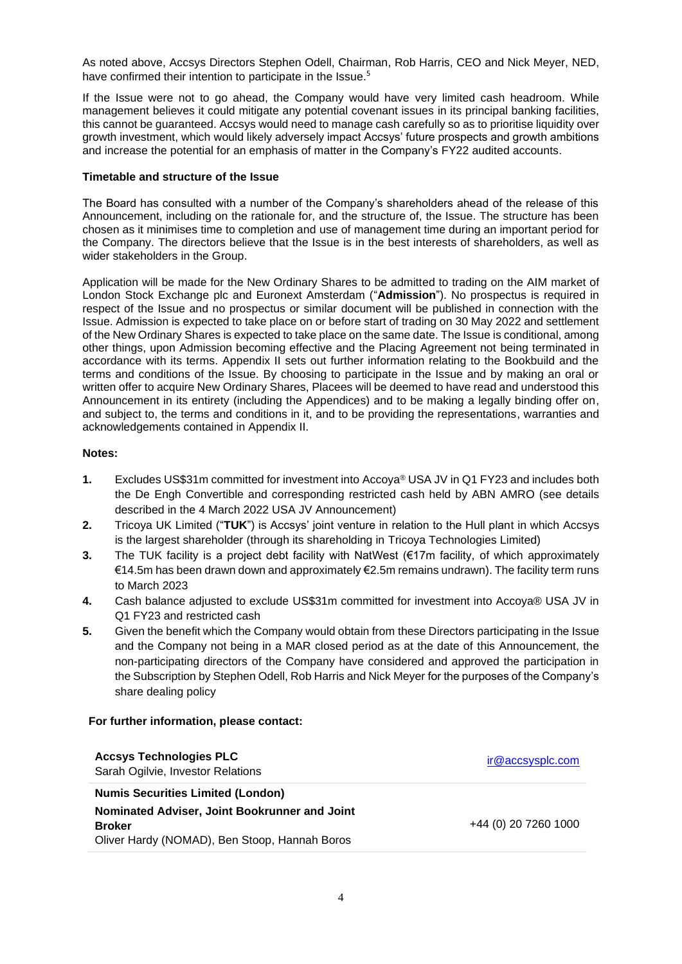As noted above, Accsys Directors Stephen Odell, Chairman, Rob Harris, CEO and Nick Meyer, NED, have confirmed their intention to participate in the Issue.<sup>5</sup>

If the Issue were not to go ahead, the Company would have very limited cash headroom. While management believes it could mitigate any potential covenant issues in its principal banking facilities, this cannot be guaranteed. Accsys would need to manage cash carefully so as to prioritise liquidity over growth investment, which would likely adversely impact Accsys' future prospects and growth ambitions and increase the potential for an emphasis of matter in the Company's FY22 audited accounts.

### **Timetable and structure of the Issue**

The Board has consulted with a number of the Company's shareholders ahead of the release of this Announcement, including on the rationale for, and the structure of, the Issue. The structure has been chosen as it minimises time to completion and use of management time during an important period for the Company. The directors believe that the Issue is in the best interests of shareholders, as well as wider stakeholders in the Group.

Application will be made for the New Ordinary Shares to be admitted to trading on the AIM market of London Stock Exchange plc and Euronext Amsterdam ("**Admission**"). No prospectus is required in respect of the Issue and no prospectus or similar document will be published in connection with the Issue. Admission is expected to take place on or before start of trading on 30 May 2022 and settlement of the New Ordinary Shares is expected to take place on the same date. The Issue is conditional, among other things, upon Admission becoming effective and the Placing Agreement not being terminated in accordance with its terms. Appendix II sets out further information relating to the Bookbuild and the terms and conditions of the Issue. By choosing to participate in the Issue and by making an oral or written offer to acquire New Ordinary Shares, Placees will be deemed to have read and understood this Announcement in its entirety (including the Appendices) and to be making a legally binding offer on, and subject to, the terms and conditions in it, and to be providing the representations, warranties and acknowledgements contained in Appendix II.

## **Notes:**

- **1.** Excludes US\$31m committed for investment into Accoya® USA JV in Q1 FY23 and includes both the De Engh Convertible and corresponding restricted cash held by ABN AMRO (see details described in the 4 March 2022 USA JV Announcement)
- **2.** Tricoya UK Limited ("**TUK**") is Accsys' joint venture in relation to the Hull plant in which Accsys is the largest shareholder (through its shareholding in Tricoya Technologies Limited)
- **3.** The TUK facility is a project debt facility with NatWest (€17m facility, of which approximately €14.5m has been drawn down and approximately €2.5m remains undrawn). The facility term runs to March 2023
- **4.** Cash balance adjusted to exclude US\$31m committed for investment into Accoya® USA JV in Q1 FY23 and restricted cash
- **5.** Given the benefit which the Company would obtain from these Directors participating in the Issue and the Company not being in a MAR closed period as at the date of this Announcement, the non-participating directors of the Company have considered and approved the participation in the Subscription by Stephen Odell, Rob Harris and Nick Meyer for the purposes of the Company's share dealing policy

# **For further information, please contact:**

| <b>Accsys Technologies PLC</b><br>Sarah Ogilvie, Investor Relations | ir@accsysplc.com     |
|---------------------------------------------------------------------|----------------------|
| <b>Numis Securities Limited (London)</b>                            |                      |
| Nominated Adviser, Joint Bookrunner and Joint                       |                      |
| <b>Broker</b>                                                       | +44 (0) 20 7260 1000 |
| Oliver Hardy (NOMAD), Ben Stoop, Hannah Boros                       |                      |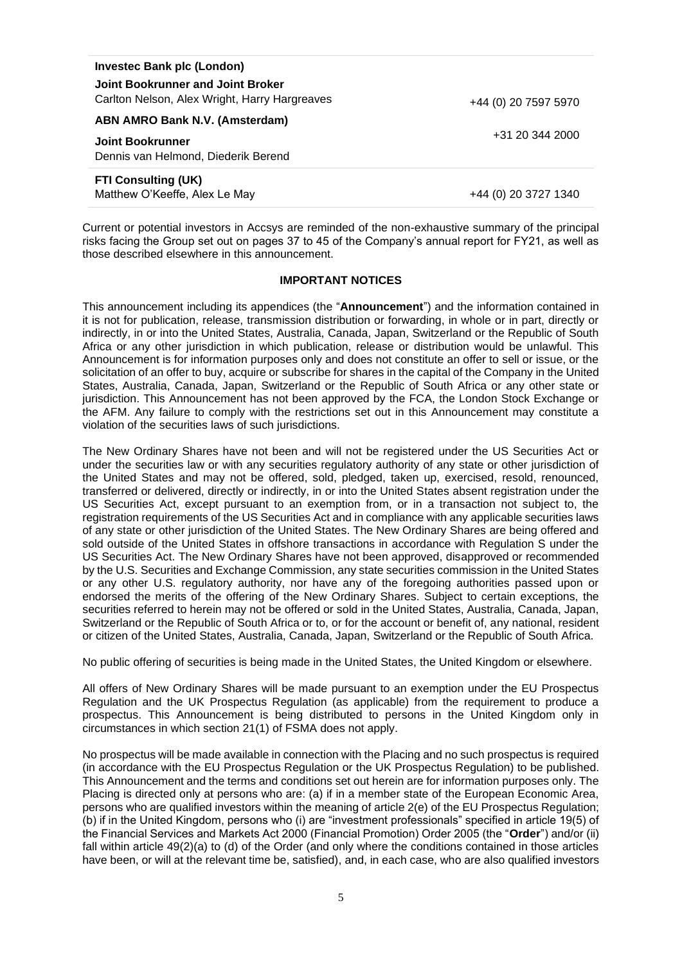| <b>Investec Bank plc (London)</b>                                                  |                      |
|------------------------------------------------------------------------------------|----------------------|
| Joint Bookrunner and Joint Broker<br>Carlton Nelson, Alex Wright, Harry Hargreaves | +44 (0) 20 7597 5970 |
| ABN AMRO Bank N.V. (Amsterdam)                                                     |                      |
| <b>Joint Bookrunner</b>                                                            | +31 20 344 2000      |
| Dennis van Helmond, Diederik Berend                                                |                      |
| <b>FTI Consulting (UK)</b>                                                         |                      |
| Matthew O'Keeffe, Alex Le May                                                      | +44 (0) 20 3727 1340 |

Current or potential investors in Accsys are reminded of the non-exhaustive summary of the principal risks facing the Group set out on pages 37 to 45 of the Company's annual report for FY21, as well as those described elsewhere in this announcement.

#### **IMPORTANT NOTICES**

This announcement including its appendices (the "**Announcement**") and the information contained in it is not for publication, release, transmission distribution or forwarding, in whole or in part, directly or indirectly, in or into the United States, Australia, Canada, Japan, Switzerland or the Republic of South Africa or any other jurisdiction in which publication, release or distribution would be unlawful. This Announcement is for information purposes only and does not constitute an offer to sell or issue, or the solicitation of an offer to buy, acquire or subscribe for shares in the capital of the Company in the United States, Australia, Canada, Japan, Switzerland or the Republic of South Africa or any other state or jurisdiction. This Announcement has not been approved by the FCA, the London Stock Exchange or the AFM. Any failure to comply with the restrictions set out in this Announcement may constitute a violation of the securities laws of such jurisdictions.

The New Ordinary Shares have not been and will not be registered under the US Securities Act or under the securities law or with any securities regulatory authority of any state or other jurisdiction of the United States and may not be offered, sold, pledged, taken up, exercised, resold, renounced, transferred or delivered, directly or indirectly, in or into the United States absent registration under the US Securities Act, except pursuant to an exemption from, or in a transaction not subject to, the registration requirements of the US Securities Act and in compliance with any applicable securities laws of any state or other jurisdiction of the United States. The New Ordinary Shares are being offered and sold outside of the United States in offshore transactions in accordance with Regulation S under the US Securities Act. The New Ordinary Shares have not been approved, disapproved or recommended by the U.S. Securities and Exchange Commission, any state securities commission in the United States or any other U.S. regulatory authority, nor have any of the foregoing authorities passed upon or endorsed the merits of the offering of the New Ordinary Shares. Subject to certain exceptions, the securities referred to herein may not be offered or sold in the United States, Australia, Canada, Japan, Switzerland or the Republic of South Africa or to, or for the account or benefit of, any national, resident or citizen of the United States, Australia, Canada, Japan, Switzerland or the Republic of South Africa.

No public offering of securities is being made in the United States, the United Kingdom or elsewhere.

All offers of New Ordinary Shares will be made pursuant to an exemption under the EU Prospectus Regulation and the UK Prospectus Regulation (as applicable) from the requirement to produce a prospectus. This Announcement is being distributed to persons in the United Kingdom only in circumstances in which section 21(1) of FSMA does not apply.

No prospectus will be made available in connection with the Placing and no such prospectus is required (in accordance with the EU Prospectus Regulation or the UK Prospectus Regulation) to be published. This Announcement and the terms and conditions set out herein are for information purposes only. The Placing is directed only at persons who are: (a) if in a member state of the European Economic Area, persons who are qualified investors within the meaning of article 2(e) of the EU Prospectus Regulation; (b) if in the United Kingdom, persons who (i) are "investment professionals" specified in article 19(5) of the Financial Services and Markets Act 2000 (Financial Promotion) Order 2005 (the "**Order**") and/or (ii) fall within article 49(2)(a) to (d) of the Order (and only where the conditions contained in those articles have been, or will at the relevant time be, satisfied), and, in each case, who are also qualified investors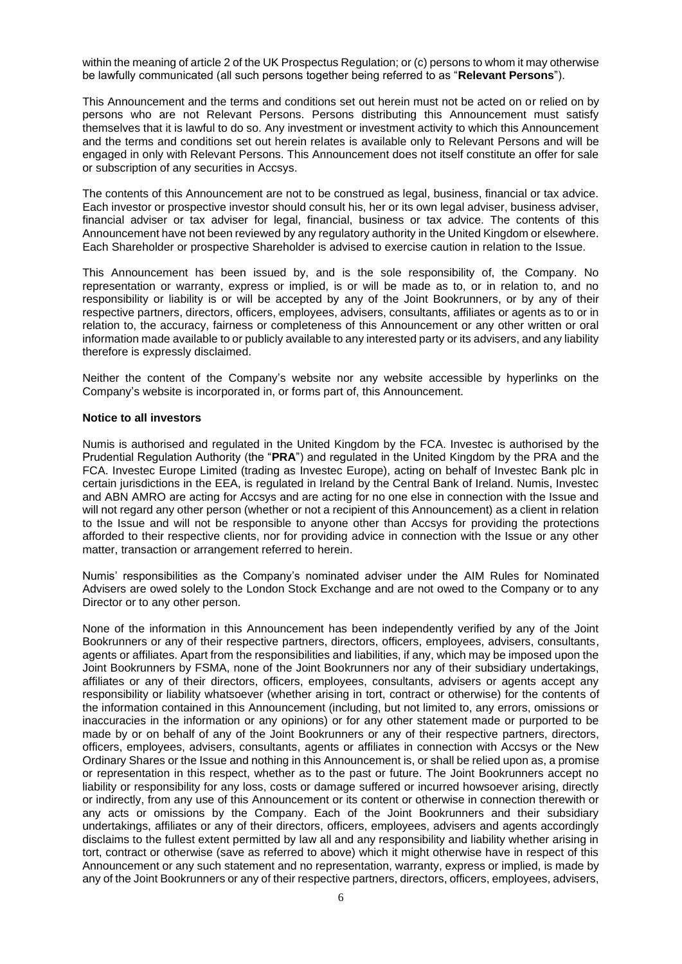within the meaning of article 2 of the UK Prospectus Regulation; or (c) persons to whom it may otherwise be lawfully communicated (all such persons together being referred to as "**Relevant Persons**").

This Announcement and the terms and conditions set out herein must not be acted on or relied on by persons who are not Relevant Persons. Persons distributing this Announcement must satisfy themselves that it is lawful to do so. Any investment or investment activity to which this Announcement and the terms and conditions set out herein relates is available only to Relevant Persons and will be engaged in only with Relevant Persons. This Announcement does not itself constitute an offer for sale or subscription of any securities in Accsys.

The contents of this Announcement are not to be construed as legal, business, financial or tax advice. Each investor or prospective investor should consult his, her or its own legal adviser, business adviser, financial adviser or tax adviser for legal, financial, business or tax advice. The contents of this Announcement have not been reviewed by any regulatory authority in the United Kingdom or elsewhere. Each Shareholder or prospective Shareholder is advised to exercise caution in relation to the Issue.

This Announcement has been issued by, and is the sole responsibility of, the Company. No representation or warranty, express or implied, is or will be made as to, or in relation to, and no responsibility or liability is or will be accepted by any of the Joint Bookrunners, or by any of their respective partners, directors, officers, employees, advisers, consultants, affiliates or agents as to or in relation to, the accuracy, fairness or completeness of this Announcement or any other written or oral information made available to or publicly available to any interested party or its advisers, and any liability therefore is expressly disclaimed.

Neither the content of the Company's website nor any website accessible by hyperlinks on the Company's website is incorporated in, or forms part of, this Announcement.

#### **Notice to all investors**

Numis is authorised and regulated in the United Kingdom by the FCA. Investec is authorised by the Prudential Regulation Authority (the "**PRA**") and regulated in the United Kingdom by the PRA and the FCA. Investec Europe Limited (trading as Investec Europe), acting on behalf of Investec Bank plc in certain jurisdictions in the EEA, is regulated in Ireland by the Central Bank of Ireland. Numis, Investec and ABN AMRO are acting for Accsys and are acting for no one else in connection with the Issue and will not regard any other person (whether or not a recipient of this Announcement) as a client in relation to the Issue and will not be responsible to anyone other than Accsys for providing the protections afforded to their respective clients, nor for providing advice in connection with the Issue or any other matter, transaction or arrangement referred to herein.

Numis' responsibilities as the Company's nominated adviser under the AIM Rules for Nominated Advisers are owed solely to the London Stock Exchange and are not owed to the Company or to any Director or to any other person.

None of the information in this Announcement has been independently verified by any of the Joint Bookrunners or any of their respective partners, directors, officers, employees, advisers, consultants, agents or affiliates. Apart from the responsibilities and liabilities, if any, which may be imposed upon the Joint Bookrunners by FSMA, none of the Joint Bookrunners nor any of their subsidiary undertakings, affiliates or any of their directors, officers, employees, consultants, advisers or agents accept any responsibility or liability whatsoever (whether arising in tort, contract or otherwise) for the contents of the information contained in this Announcement (including, but not limited to, any errors, omissions or inaccuracies in the information or any opinions) or for any other statement made or purported to be made by or on behalf of any of the Joint Bookrunners or any of their respective partners, directors, officers, employees, advisers, consultants, agents or affiliates in connection with Accsys or the New Ordinary Shares or the Issue and nothing in this Announcement is, or shall be relied upon as, a promise or representation in this respect, whether as to the past or future. The Joint Bookrunners accept no liability or responsibility for any loss, costs or damage suffered or incurred howsoever arising, directly or indirectly, from any use of this Announcement or its content or otherwise in connection therewith or any acts or omissions by the Company. Each of the Joint Bookrunners and their subsidiary undertakings, affiliates or any of their directors, officers, employees, advisers and agents accordingly disclaims to the fullest extent permitted by law all and any responsibility and liability whether arising in tort, contract or otherwise (save as referred to above) which it might otherwise have in respect of this Announcement or any such statement and no representation, warranty, express or implied, is made by any of the Joint Bookrunners or any of their respective partners, directors, officers, employees, advisers,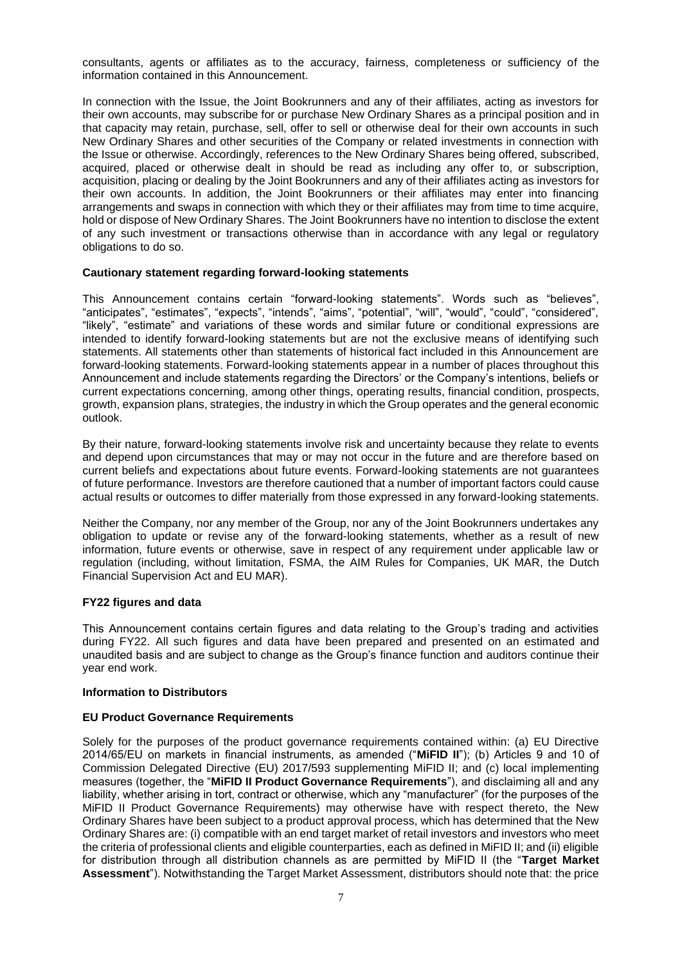consultants, agents or affiliates as to the accuracy, fairness, completeness or sufficiency of the information contained in this Announcement.

In connection with the Issue, the Joint Bookrunners and any of their affiliates, acting as investors for their own accounts, may subscribe for or purchase New Ordinary Shares as a principal position and in that capacity may retain, purchase, sell, offer to sell or otherwise deal for their own accounts in such New Ordinary Shares and other securities of the Company or related investments in connection with the Issue or otherwise. Accordingly, references to the New Ordinary Shares being offered, subscribed, acquired, placed or otherwise dealt in should be read as including any offer to, or subscription, acquisition, placing or dealing by the Joint Bookrunners and any of their affiliates acting as investors for their own accounts. In addition, the Joint Bookrunners or their affiliates may enter into financing arrangements and swaps in connection with which they or their affiliates may from time to time acquire, hold or dispose of New Ordinary Shares. The Joint Bookrunners have no intention to disclose the extent of any such investment or transactions otherwise than in accordance with any legal or regulatory obligations to do so.

### **Cautionary statement regarding forward-looking statements**

This Announcement contains certain "forward-looking statements". Words such as "believes", "anticipates", "estimates", "expects", "intends", "aims", "potential", "will", "would", "could", "considered", "likely", "estimate" and variations of these words and similar future or conditional expressions are intended to identify forward-looking statements but are not the exclusive means of identifying such statements. All statements other than statements of historical fact included in this Announcement are forward-looking statements. Forward-looking statements appear in a number of places throughout this Announcement and include statements regarding the Directors' or the Company's intentions, beliefs or current expectations concerning, among other things, operating results, financial condition, prospects, growth, expansion plans, strategies, the industry in which the Group operates and the general economic outlook.

By their nature, forward-looking statements involve risk and uncertainty because they relate to events and depend upon circumstances that may or may not occur in the future and are therefore based on current beliefs and expectations about future events. Forward-looking statements are not guarantees of future performance. Investors are therefore cautioned that a number of important factors could cause actual results or outcomes to differ materially from those expressed in any forward-looking statements.

Neither the Company, nor any member of the Group, nor any of the Joint Bookrunners undertakes any obligation to update or revise any of the forward-looking statements, whether as a result of new information, future events or otherwise, save in respect of any requirement under applicable law or regulation (including, without limitation, FSMA, the AIM Rules for Companies, UK MAR, the Dutch Financial Supervision Act and EU MAR).

# **FY22 figures and data**

This Announcement contains certain figures and data relating to the Group's trading and activities during FY22. All such figures and data have been prepared and presented on an estimated and unaudited basis and are subject to change as the Group's finance function and auditors continue their year end work.

### **Information to Distributors**

### **EU Product Governance Requirements**

Solely for the purposes of the product governance requirements contained within: (a) EU Directive 2014/65/EU on markets in financial instruments, as amended ("**MiFID II**"); (b) Articles 9 and 10 of Commission Delegated Directive (EU) 2017/593 supplementing MiFID II; and (c) local implementing measures (together, the "**MiFID II Product Governance Requirements**"), and disclaiming all and any liability, whether arising in tort, contract or otherwise, which any "manufacturer" (for the purposes of the MiFID II Product Governance Requirements) may otherwise have with respect thereto, the New Ordinary Shares have been subject to a product approval process, which has determined that the New Ordinary Shares are: (i) compatible with an end target market of retail investors and investors who meet the criteria of professional clients and eligible counterparties, each as defined in MiFID II; and (ii) eligible for distribution through all distribution channels as are permitted by MiFID II (the "**Target Market Assessment**"). Notwithstanding the Target Market Assessment, distributors should note that: the price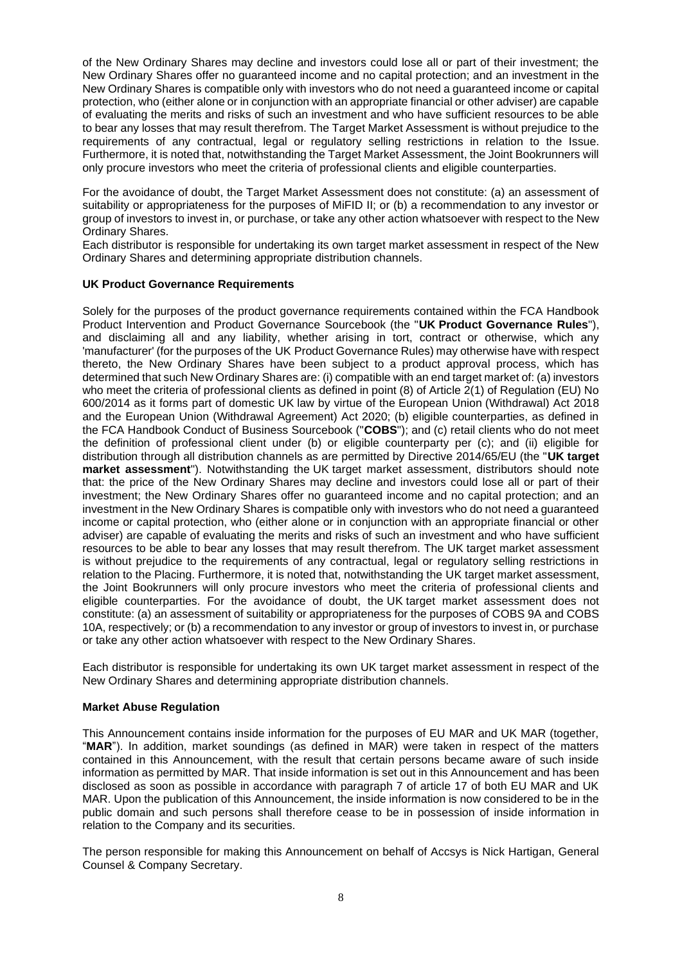of the New Ordinary Shares may decline and investors could lose all or part of their investment; the New Ordinary Shares offer no guaranteed income and no capital protection; and an investment in the New Ordinary Shares is compatible only with investors who do not need a guaranteed income or capital protection, who (either alone or in conjunction with an appropriate financial or other adviser) are capable of evaluating the merits and risks of such an investment and who have sufficient resources to be able to bear any losses that may result therefrom. The Target Market Assessment is without prejudice to the requirements of any contractual, legal or regulatory selling restrictions in relation to the Issue. Furthermore, it is noted that, notwithstanding the Target Market Assessment, the Joint Bookrunners will only procure investors who meet the criteria of professional clients and eligible counterparties.

For the avoidance of doubt, the Target Market Assessment does not constitute: (a) an assessment of suitability or appropriateness for the purposes of MiFID II; or (b) a recommendation to any investor or group of investors to invest in, or purchase, or take any other action whatsoever with respect to the New Ordinary Shares.

Each distributor is responsible for undertaking its own target market assessment in respect of the New Ordinary Shares and determining appropriate distribution channels.

# **UK Product Governance Requirements**

Solely for the purposes of the product governance requirements contained within the FCA Handbook Product Intervention and Product Governance Sourcebook (the "**UK Product Governance Rules**"), and disclaiming all and any liability, whether arising in tort, contract or otherwise, which any 'manufacturer' (for the purposes of the UK Product Governance Rules) may otherwise have with respect thereto, the New Ordinary Shares have been subject to a product approval process, which has determined that such New Ordinary Shares are: (i) compatible with an end target market of: (a) investors who meet the criteria of professional clients as defined in point (8) of Article 2(1) of Regulation (EU) No 600/2014 as it forms part of domestic UK law by virtue of the European Union (Withdrawal) Act 2018 and the European Union (Withdrawal Agreement) Act 2020; (b) eligible counterparties, as defined in the FCA Handbook Conduct of Business Sourcebook ("**COBS**"); and (c) retail clients who do not meet the definition of professional client under (b) or eligible counterparty per (c); and (ii) eligible for distribution through all distribution channels as are permitted by Directive 2014/65/EU (the "**UK target market assessment**"). Notwithstanding the UK target market assessment, distributors should note that: the price of the New Ordinary Shares may decline and investors could lose all or part of their investment; the New Ordinary Shares offer no guaranteed income and no capital protection; and an investment in the New Ordinary Shares is compatible only with investors who do not need a guaranteed income or capital protection, who (either alone or in conjunction with an appropriate financial or other adviser) are capable of evaluating the merits and risks of such an investment and who have sufficient resources to be able to bear any losses that may result therefrom. The UK target market assessment is without prejudice to the requirements of any contractual, legal or regulatory selling restrictions in relation to the Placing. Furthermore, it is noted that, notwithstanding the UK target market assessment, the Joint Bookrunners will only procure investors who meet the criteria of professional clients and eligible counterparties. For the avoidance of doubt, the UK target market assessment does not constitute: (a) an assessment of suitability or appropriateness for the purposes of COBS 9A and COBS 10A, respectively; or (b) a recommendation to any investor or group of investors to invest in, or purchase or take any other action whatsoever with respect to the New Ordinary Shares.

Each distributor is responsible for undertaking its own UK target market assessment in respect of the New Ordinary Shares and determining appropriate distribution channels.

### **Market Abuse Regulation**

This Announcement contains inside information for the purposes of EU MAR and UK MAR (together, "**MAR**"). In addition, market soundings (as defined in MAR) were taken in respect of the matters contained in this Announcement, with the result that certain persons became aware of such inside information as permitted by MAR. That inside information is set out in this Announcement and has been disclosed as soon as possible in accordance with paragraph 7 of article 17 of both EU MAR and UK MAR. Upon the publication of this Announcement, the inside information is now considered to be in the public domain and such persons shall therefore cease to be in possession of inside information in relation to the Company and its securities.

The person responsible for making this Announcement on behalf of Accsys is Nick Hartigan, General Counsel & Company Secretary.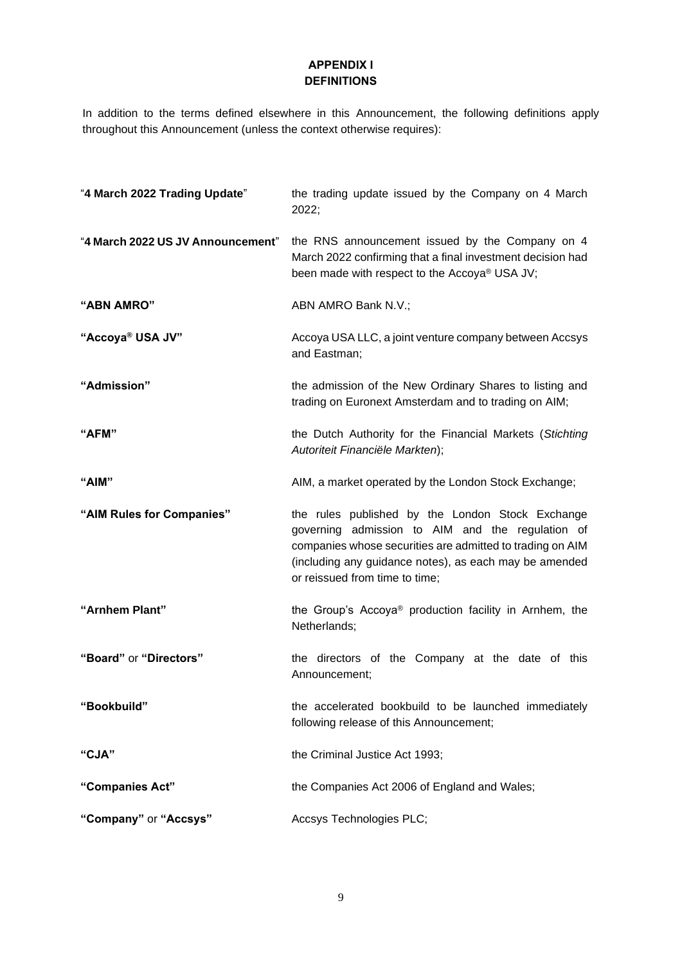# **APPENDIX I DEFINITIONS**

In addition to the terms defined elsewhere in this Announcement, the following definitions apply throughout this Announcement (unless the context otherwise requires):

| "4 March 2022 Trading Update"     | the trading update issued by the Company on 4 March<br>2022;                                                                                                                                                                                                  |
|-----------------------------------|---------------------------------------------------------------------------------------------------------------------------------------------------------------------------------------------------------------------------------------------------------------|
| "4 March 2022 US JV Announcement" | the RNS announcement issued by the Company on 4<br>March 2022 confirming that a final investment decision had<br>been made with respect to the Accoya® USA JV;                                                                                                |
| "ABN AMRO"                        | ABN AMRO Bank N.V.;                                                                                                                                                                                                                                           |
| "Accoya <sup>®</sup> USA JV"      | Accoya USA LLC, a joint venture company between Accsys<br>and Eastman;                                                                                                                                                                                        |
| "Admission"                       | the admission of the New Ordinary Shares to listing and<br>trading on Euronext Amsterdam and to trading on AIM;                                                                                                                                               |
| "AFM"                             | the Dutch Authority for the Financial Markets (Stichting<br>Autoriteit Financiële Markten);                                                                                                                                                                   |
| "AIM"                             | AIM, a market operated by the London Stock Exchange;                                                                                                                                                                                                          |
| "AIM Rules for Companies"         | the rules published by the London Stock Exchange<br>governing admission to AIM and the regulation of<br>companies whose securities are admitted to trading on AIM<br>(including any guidance notes), as each may be amended<br>or reissued from time to time; |
| "Arnhem Plant"                    | the Group's Accoya <sup>®</sup> production facility in Arnhem, the<br>Netherlands;                                                                                                                                                                            |
| "Board" or "Directors"            | the directors of the Company at the date of this<br>Announcement;                                                                                                                                                                                             |
| "Bookbuild"                       | the accelerated bookbuild to be launched immediately<br>following release of this Announcement;                                                                                                                                                               |
| "CJA"                             | the Criminal Justice Act 1993;                                                                                                                                                                                                                                |
| "Companies Act"                   | the Companies Act 2006 of England and Wales;                                                                                                                                                                                                                  |
| "Company" or "Accsys"             | Accsys Technologies PLC;                                                                                                                                                                                                                                      |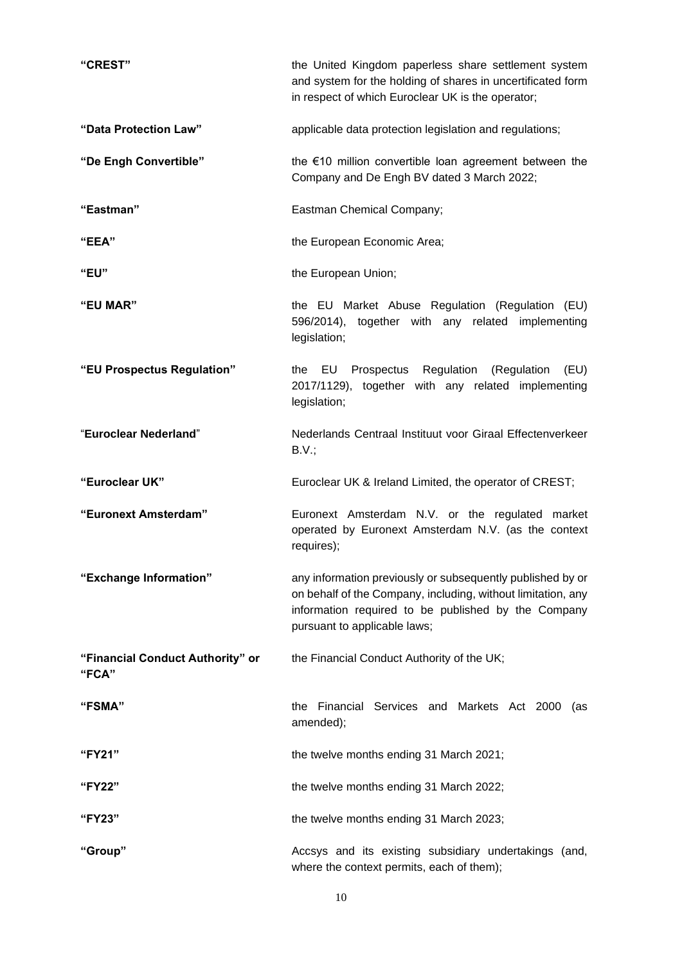| "CREST"                                   | the United Kingdom paperless share settlement system<br>and system for the holding of shares in uncertificated form<br>in respect of which Euroclear UK is the operator;                                          |
|-------------------------------------------|-------------------------------------------------------------------------------------------------------------------------------------------------------------------------------------------------------------------|
| "Data Protection Law"                     | applicable data protection legislation and regulations;                                                                                                                                                           |
| "De Engh Convertible"                     | the $€10$ million convertible loan agreement between the<br>Company and De Engh BV dated 3 March 2022;                                                                                                            |
| "Eastman"                                 | Eastman Chemical Company;                                                                                                                                                                                         |
| "EEA"                                     | the European Economic Area;                                                                                                                                                                                       |
| "EU"                                      | the European Union;                                                                                                                                                                                               |
| "EU MAR"                                  | the EU Market Abuse Regulation (Regulation (EU)<br>596/2014), together with any related implementing<br>legislation;                                                                                              |
| "EU Prospectus Regulation"                | the EU Prospectus Regulation<br>(Regulation<br>(EU)<br>2017/1129), together with any related implementing<br>legislation;                                                                                         |
| "Euroclear Nederland"                     | Nederlands Centraal Instituut voor Giraal Effectenverkeer<br>B.V.;                                                                                                                                                |
| "Euroclear UK"                            | Euroclear UK & Ireland Limited, the operator of CREST;                                                                                                                                                            |
| "Euronext Amsterdam"                      | Euronext Amsterdam N.V. or the regulated market<br>operated by Euronext Amsterdam N.V. (as the context<br>requires);                                                                                              |
| "Exchange Information"                    | any information previously or subsequently published by or<br>on behalf of the Company, including, without limitation, any<br>information required to be published by the Company<br>pursuant to applicable laws; |
| "Financial Conduct Authority" or<br>"FCA" | the Financial Conduct Authority of the UK;                                                                                                                                                                        |
| "FSMA"                                    | Financial Services and Markets Act 2000 (as<br>the<br>amended);                                                                                                                                                   |
| "FY21"                                    | the twelve months ending 31 March 2021;                                                                                                                                                                           |
| "FY22"                                    | the twelve months ending 31 March 2022;                                                                                                                                                                           |
| "FY23"                                    | the twelve months ending 31 March 2023;                                                                                                                                                                           |
| "Group"                                   | Accsys and its existing subsidiary undertakings (and,<br>where the context permits, each of them);                                                                                                                |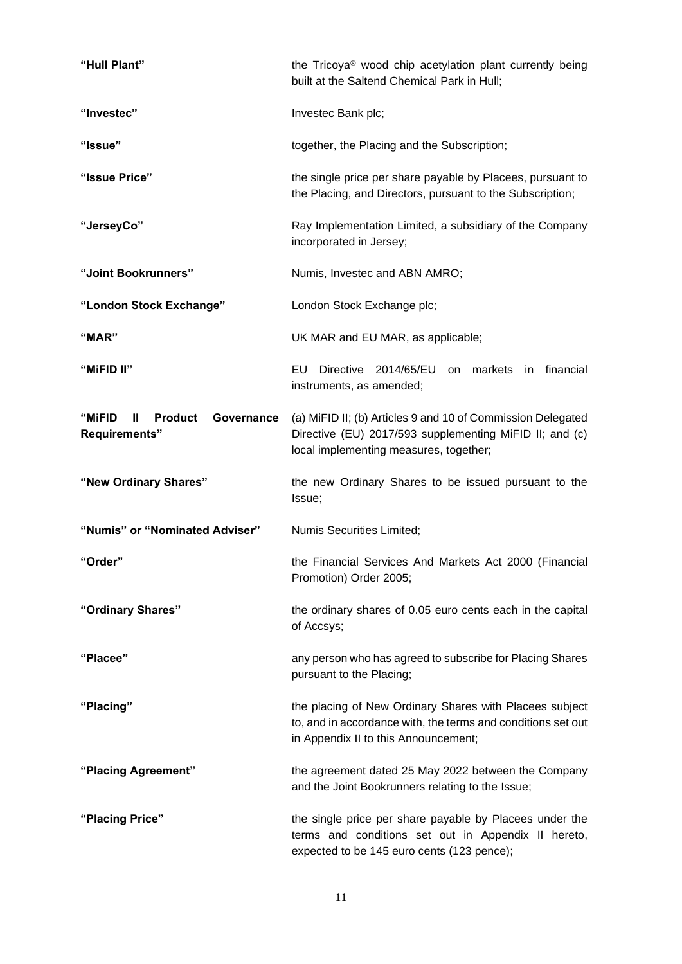| "Hull Plant"                                                 | the Tricoya <sup>®</sup> wood chip acetylation plant currently being<br>built at the Saltend Chemical Park in Hull;                                              |
|--------------------------------------------------------------|------------------------------------------------------------------------------------------------------------------------------------------------------------------|
| "Investec"                                                   | Investec Bank plc;                                                                                                                                               |
| "Issue"                                                      | together, the Placing and the Subscription;                                                                                                                      |
| "Issue Price"                                                | the single price per share payable by Placees, pursuant to<br>the Placing, and Directors, pursuant to the Subscription;                                          |
| "JerseyCo"                                                   | Ray Implementation Limited, a subsidiary of the Company<br>incorporated in Jersey;                                                                               |
| "Joint Bookrunners"                                          | Numis, Investec and ABN AMRO;                                                                                                                                    |
| "London Stock Exchange"                                      | London Stock Exchange plc;                                                                                                                                       |
| "MAR"                                                        | UK MAR and EU MAR, as applicable;                                                                                                                                |
| "MiFID II"                                                   | EU<br>Directive 2014/65/EU on markets<br>financial<br>in.<br>instruments, as amended;                                                                            |
| "MiFID<br>Ш<br><b>Product</b><br>Governance<br>Requirements" | (a) MiFID II; (b) Articles 9 and 10 of Commission Delegated<br>Directive (EU) 2017/593 supplementing MiFID II; and (c)<br>local implementing measures, together; |
| "New Ordinary Shares"                                        | the new Ordinary Shares to be issued pursuant to the<br>Issue;                                                                                                   |
| "Numis" or "Nominated Adviser"                               | Numis Securities Limited;                                                                                                                                        |
| "Order"                                                      | the Financial Services And Markets Act 2000 (Financial<br>Promotion) Order 2005;                                                                                 |
| "Ordinary Shares"                                            | the ordinary shares of 0.05 euro cents each in the capital<br>of Accsys;                                                                                         |
| "Placee"                                                     | any person who has agreed to subscribe for Placing Shares<br>pursuant to the Placing;                                                                            |
| "Placing"                                                    | the placing of New Ordinary Shares with Placees subject<br>to, and in accordance with, the terms and conditions set out<br>in Appendix II to this Announcement;  |
| "Placing Agreement"                                          | the agreement dated 25 May 2022 between the Company<br>and the Joint Bookrunners relating to the Issue;                                                          |
| "Placing Price"                                              | the single price per share payable by Placees under the<br>terms and conditions set out in Appendix II hereto,<br>expected to be 145 euro cents (123 pence);     |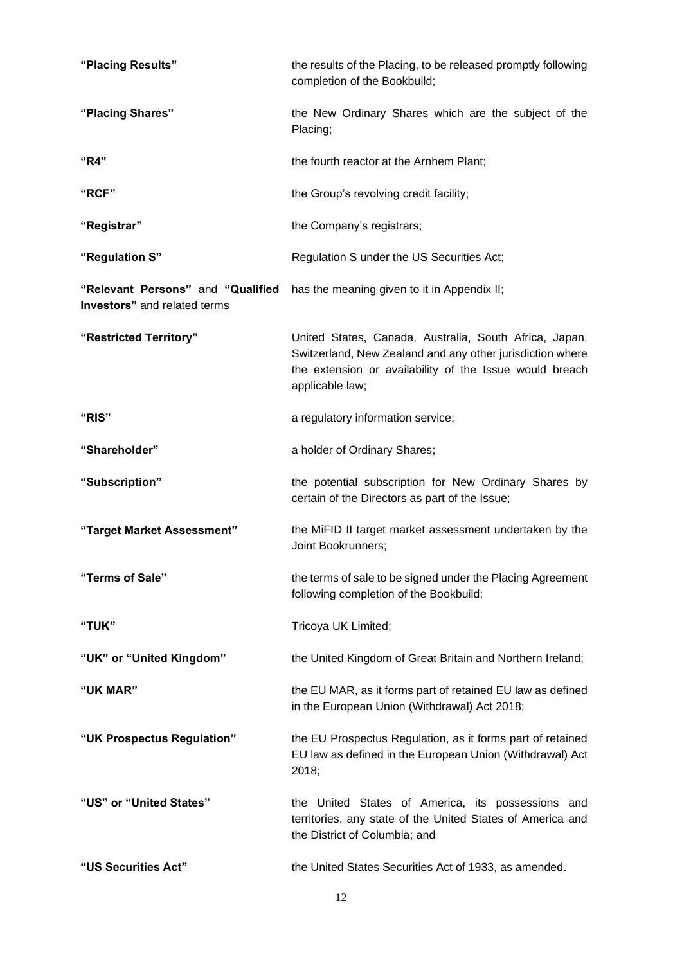| "Placing Results"                                                 | the results of the Placing, to be released promptly following<br>completion of the Bookbuild;                                                                                                     |
|-------------------------------------------------------------------|---------------------------------------------------------------------------------------------------------------------------------------------------------------------------------------------------|
| "Placing Shares"                                                  | the New Ordinary Shares which are the subject of the<br>Placing;                                                                                                                                  |
| "R4"                                                              | the fourth reactor at the Arnhem Plant;                                                                                                                                                           |
| "RCF"                                                             | the Group's revolving credit facility;                                                                                                                                                            |
| "Registrar"                                                       | the Company's registrars;                                                                                                                                                                         |
| "Regulation S"                                                    | Regulation S under the US Securities Act;                                                                                                                                                         |
| "Relevant Persons" and "Qualified<br>Investors" and related terms | has the meaning given to it in Appendix II;                                                                                                                                                       |
| "Restricted Territory"                                            | United States, Canada, Australia, South Africa, Japan,<br>Switzerland, New Zealand and any other jurisdiction where<br>the extension or availability of the Issue would breach<br>applicable law; |
| <b>"RIS"</b>                                                      | a regulatory information service;                                                                                                                                                                 |
| "Shareholder"                                                     | a holder of Ordinary Shares;                                                                                                                                                                      |
| "Subscription"                                                    | the potential subscription for New Ordinary Shares by<br>certain of the Directors as part of the Issue;                                                                                           |
| "Target Market Assessment"                                        | the MiFID II target market assessment undertaken by the<br>Joint Bookrunners;                                                                                                                     |
| "Terms of Sale"                                                   | the terms of sale to be signed under the Placing Agreement<br>following completion of the Bookbuild;                                                                                              |
| "TUK"                                                             | Tricoya UK Limited;                                                                                                                                                                               |
| "UK" or "United Kingdom"                                          | the United Kingdom of Great Britain and Northern Ireland;                                                                                                                                         |
| "UK MAR"                                                          | the EU MAR, as it forms part of retained EU law as defined<br>in the European Union (Withdrawal) Act 2018;                                                                                        |
| "UK Prospectus Regulation"                                        | the EU Prospectus Regulation, as it forms part of retained<br>EU law as defined in the European Union (Withdrawal) Act<br>2018;                                                                   |
| "US" or "United States"                                           | the United States of America, its possessions and<br>territories, any state of the United States of America and<br>the District of Columbia; and                                                  |
| "US Securities Act"                                               | the United States Securities Act of 1933, as amended.                                                                                                                                             |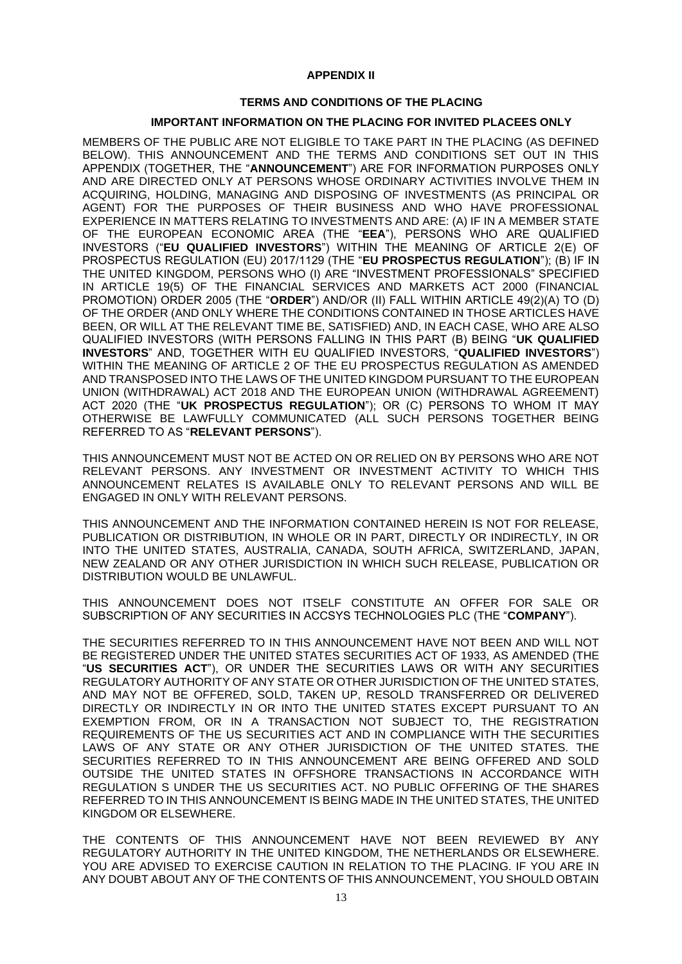### **APPENDIX II**

### **TERMS AND CONDITIONS OF THE PLACING**

### **IMPORTANT INFORMATION ON THE PLACING FOR INVITED PLACEES ONLY**

MEMBERS OF THE PUBLIC ARE NOT ELIGIBLE TO TAKE PART IN THE PLACING (AS DEFINED BELOW). THIS ANNOUNCEMENT AND THE TERMS AND CONDITIONS SET OUT IN THIS APPENDIX (TOGETHER, THE "**ANNOUNCEMENT**") ARE FOR INFORMATION PURPOSES ONLY AND ARE DIRECTED ONLY AT PERSONS WHOSE ORDINARY ACTIVITIES INVOLVE THEM IN ACQUIRING, HOLDING, MANAGING AND DISPOSING OF INVESTMENTS (AS PRINCIPAL OR AGENT) FOR THE PURPOSES OF THEIR BUSINESS AND WHO HAVE PROFESSIONAL EXPERIENCE IN MATTERS RELATING TO INVESTMENTS AND ARE: (A) IF IN A MEMBER STATE OF THE EUROPEAN ECONOMIC AREA (THE "**EEA**"), PERSONS WHO ARE QUALIFIED INVESTORS ("**EU QUALIFIED INVESTORS**") WITHIN THE MEANING OF ARTICLE 2(E) OF PROSPECTUS REGULATION (EU) 2017/1129 (THE "**EU PROSPECTUS REGULATION**"); (B) IF IN THE UNITED KINGDOM, PERSONS WHO (I) ARE "INVESTMENT PROFESSIONALS" SPECIFIED IN ARTICLE 19(5) OF THE FINANCIAL SERVICES AND MARKETS ACT 2000 (FINANCIAL PROMOTION) ORDER 2005 (THE "**ORDER**") AND/OR (II) FALL WITHIN ARTICLE 49(2)(A) TO (D) OF THE ORDER (AND ONLY WHERE THE CONDITIONS CONTAINED IN THOSE ARTICLES HAVE BEEN, OR WILL AT THE RELEVANT TIME BE, SATISFIED) AND, IN EACH CASE, WHO ARE ALSO QUALIFIED INVESTORS (WITH PERSONS FALLING IN THIS PART (B) BEING "**UK QUALIFIED INVESTORS**" AND, TOGETHER WITH EU QUALIFIED INVESTORS, "**QUALIFIED INVESTORS**") WITHIN THE MEANING OF ARTICLE 2 OF THE EU PROSPECTUS REGULATION AS AMENDED AND TRANSPOSED INTO THE LAWS OF THE UNITED KINGDOM PURSUANT TO THE EUROPEAN UNION (WITHDRAWAL) ACT 2018 AND THE EUROPEAN UNION (WITHDRAWAL AGREEMENT) ACT 2020 (THE "**UK PROSPECTUS REGULATION**"); OR (C) PERSONS TO WHOM IT MAY OTHERWISE BE LAWFULLY COMMUNICATED (ALL SUCH PERSONS TOGETHER BEING REFERRED TO AS "**RELEVANT PERSONS**").

THIS ANNOUNCEMENT MUST NOT BE ACTED ON OR RELIED ON BY PERSONS WHO ARE NOT RELEVANT PERSONS. ANY INVESTMENT OR INVESTMENT ACTIVITY TO WHICH THIS ANNOUNCEMENT RELATES IS AVAILABLE ONLY TO RELEVANT PERSONS AND WILL BE ENGAGED IN ONLY WITH RELEVANT PERSONS.

THIS ANNOUNCEMENT AND THE INFORMATION CONTAINED HEREIN IS NOT FOR RELEASE, PUBLICATION OR DISTRIBUTION, IN WHOLE OR IN PART, DIRECTLY OR INDIRECTLY, IN OR INTO THE UNITED STATES, AUSTRALIA, CANADA, SOUTH AFRICA, SWITZERLAND, JAPAN, NEW ZEALAND OR ANY OTHER JURISDICTION IN WHICH SUCH RELEASE, PUBLICATION OR DISTRIBUTION WOULD BE UNLAWFUL.

THIS ANNOUNCEMENT DOES NOT ITSELF CONSTITUTE AN OFFER FOR SALE OR SUBSCRIPTION OF ANY SECURITIES IN ACCSYS TECHNOLOGIES PLC (THE "**COMPANY**").

THE SECURITIES REFERRED TO IN THIS ANNOUNCEMENT HAVE NOT BEEN AND WILL NOT BE REGISTERED UNDER THE UNITED STATES SECURITIES ACT OF 1933, AS AMENDED (THE "**US SECURITIES ACT**"), OR UNDER THE SECURITIES LAWS OR WITH ANY SECURITIES REGULATORY AUTHORITY OF ANY STATE OR OTHER JURISDICTION OF THE UNITED STATES, AND MAY NOT BE OFFERED, SOLD, TAKEN UP, RESOLD TRANSFERRED OR DELIVERED DIRECTLY OR INDIRECTLY IN OR INTO THE UNITED STATES EXCEPT PURSUANT TO AN EXEMPTION FROM, OR IN A TRANSACTION NOT SUBJECT TO, THE REGISTRATION REQUIREMENTS OF THE US SECURITIES ACT AND IN COMPLIANCE WITH THE SECURITIES LAWS OF ANY STATE OR ANY OTHER JURISDICTION OF THE UNITED STATES. THE SECURITIES REFERRED TO IN THIS ANNOUNCEMENT ARE BEING OFFERED AND SOLD OUTSIDE THE UNITED STATES IN OFFSHORE TRANSACTIONS IN ACCORDANCE WITH REGULATION S UNDER THE US SECURITIES ACT. NO PUBLIC OFFERING OF THE SHARES REFERRED TO IN THIS ANNOUNCEMENT IS BEING MADE IN THE UNITED STATES, THE UNITED KINGDOM OR ELSEWHERE.

THE CONTENTS OF THIS ANNOUNCEMENT HAVE NOT BEEN REVIEWED BY ANY REGULATORY AUTHORITY IN THE UNITED KINGDOM, THE NETHERLANDS OR ELSEWHERE. YOU ARE ADVISED TO EXERCISE CAUTION IN RELATION TO THE PLACING. IF YOU ARE IN ANY DOUBT ABOUT ANY OF THE CONTENTS OF THIS ANNOUNCEMENT, YOU SHOULD OBTAIN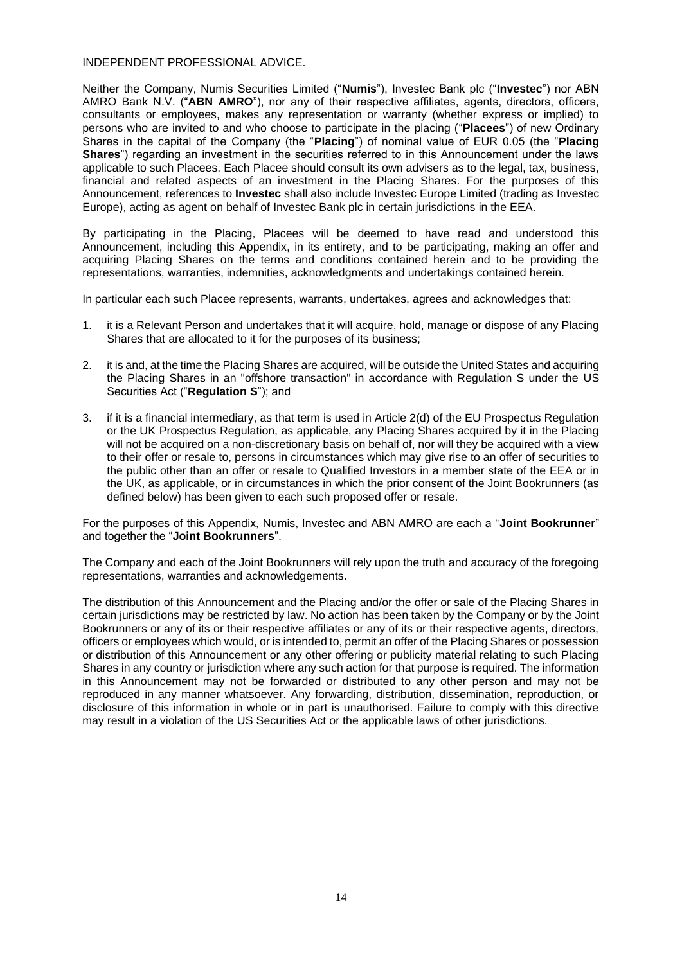INDEPENDENT PROFESSIONAL ADVICE.

Neither the Company, Numis Securities Limited ("**Numis**"), Investec Bank plc ("**Investec**") nor ABN AMRO Bank N.V. ("**ABN AMRO**"), nor any of their respective affiliates, agents, directors, officers, consultants or employees, makes any representation or warranty (whether express or implied) to persons who are invited to and who choose to participate in the placing ("**Placees**") of new Ordinary Shares in the capital of the Company (the "**Placing**") of nominal value of EUR 0.05 (the "**Placing Shares**") regarding an investment in the securities referred to in this Announcement under the laws applicable to such Placees. Each Placee should consult its own advisers as to the legal, tax, business, financial and related aspects of an investment in the Placing Shares. For the purposes of this Announcement, references to **Investec** shall also include Investec Europe Limited (trading as Investec Europe), acting as agent on behalf of Investec Bank plc in certain jurisdictions in the EEA.

By participating in the Placing, Placees will be deemed to have read and understood this Announcement, including this Appendix, in its entirety, and to be participating, making an offer and acquiring Placing Shares on the terms and conditions contained herein and to be providing the representations, warranties, indemnities, acknowledgments and undertakings contained herein.

In particular each such Placee represents, warrants, undertakes, agrees and acknowledges that:

- 1. it is a Relevant Person and undertakes that it will acquire, hold, manage or dispose of any Placing Shares that are allocated to it for the purposes of its business;
- 2. it is and, at the time the Placing Shares are acquired, will be outside the United States and acquiring the Placing Shares in an "offshore transaction" in accordance with Regulation S under the US Securities Act ("**Regulation S**"); and
- 3. if it is a financial intermediary, as that term is used in Article 2(d) of the EU Prospectus Regulation or the UK Prospectus Regulation, as applicable, any Placing Shares acquired by it in the Placing will not be acquired on a non-discretionary basis on behalf of, nor will they be acquired with a view to their offer or resale to, persons in circumstances which may give rise to an offer of securities to the public other than an offer or resale to Qualified Investors in a member state of the EEA or in the UK, as applicable, or in circumstances in which the prior consent of the Joint Bookrunners (as defined below) has been given to each such proposed offer or resale.

For the purposes of this Appendix, Numis, Investec and ABN AMRO are each a "**Joint Bookrunner**" and together the "**Joint Bookrunners**".

The Company and each of the Joint Bookrunners will rely upon the truth and accuracy of the foregoing representations, warranties and acknowledgements.

The distribution of this Announcement and the Placing and/or the offer or sale of the Placing Shares in certain jurisdictions may be restricted by law. No action has been taken by the Company or by the Joint Bookrunners or any of its or their respective affiliates or any of its or their respective agents, directors, officers or employees which would, or is intended to, permit an offer of the Placing Shares or possession or distribution of this Announcement or any other offering or publicity material relating to such Placing Shares in any country or jurisdiction where any such action for that purpose is required. The information in this Announcement may not be forwarded or distributed to any other person and may not be reproduced in any manner whatsoever. Any forwarding, distribution, dissemination, reproduction, or disclosure of this information in whole or in part is unauthorised. Failure to comply with this directive may result in a violation of the US Securities Act or the applicable laws of other jurisdictions.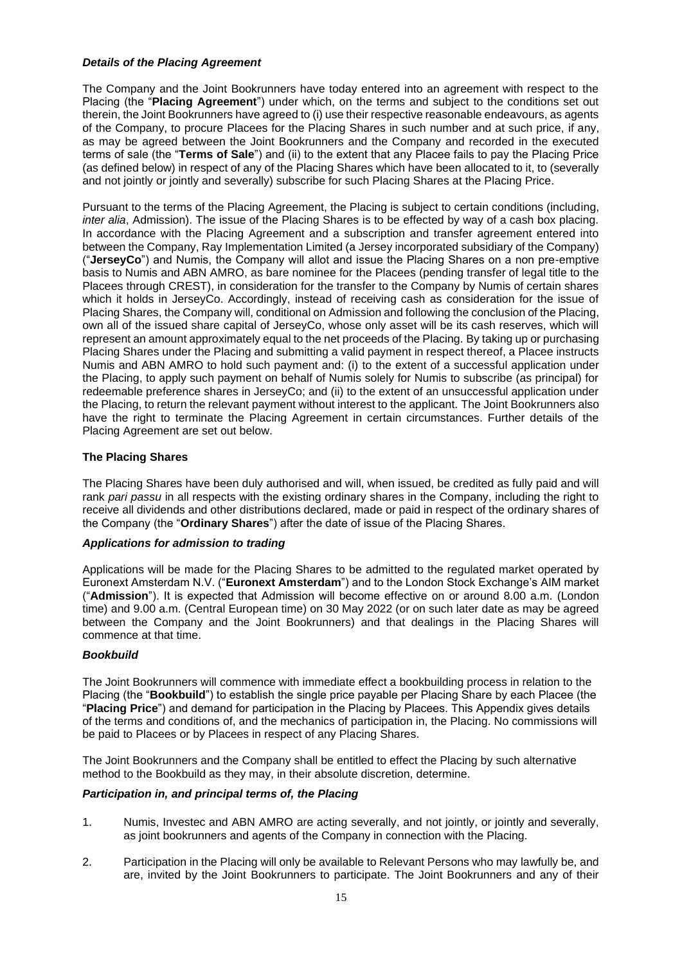## *Details of the Placing Agreement*

The Company and the Joint Bookrunners have today entered into an agreement with respect to the Placing (the "**Placing Agreement**") under which, on the terms and subject to the conditions set out therein, the Joint Bookrunners have agreed to (i) use their respective reasonable endeavours, as agents of the Company, to procure Placees for the Placing Shares in such number and at such price, if any, as may be agreed between the Joint Bookrunners and the Company and recorded in the executed terms of sale (the "**Terms of Sale**") and (ii) to the extent that any Placee fails to pay the Placing Price (as defined below) in respect of any of the Placing Shares which have been allocated to it, to (severally and not jointly or jointly and severally) subscribe for such Placing Shares at the Placing Price.

Pursuant to the terms of the Placing Agreement, the Placing is subject to certain conditions (including, *inter alia*, Admission). The issue of the Placing Shares is to be effected by way of a cash box placing. In accordance with the Placing Agreement and a subscription and transfer agreement entered into between the Company, Ray Implementation Limited (a Jersey incorporated subsidiary of the Company) ("**JerseyCo**") and Numis, the Company will allot and issue the Placing Shares on a non pre-emptive basis to Numis and ABN AMRO, as bare nominee for the Placees (pending transfer of legal title to the Placees through CREST), in consideration for the transfer to the Company by Numis of certain shares which it holds in JerseyCo. Accordingly, instead of receiving cash as consideration for the issue of Placing Shares, the Company will, conditional on Admission and following the conclusion of the Placing, own all of the issued share capital of JerseyCo, whose only asset will be its cash reserves, which will represent an amount approximately equal to the net proceeds of the Placing. By taking up or purchasing Placing Shares under the Placing and submitting a valid payment in respect thereof, a Placee instructs Numis and ABN AMRO to hold such payment and: (i) to the extent of a successful application under the Placing, to apply such payment on behalf of Numis solely for Numis to subscribe (as principal) for redeemable preference shares in JerseyCo; and (ii) to the extent of an unsuccessful application under the Placing, to return the relevant payment without interest to the applicant. The Joint Bookrunners also have the right to terminate the Placing Agreement in certain circumstances. Further details of the Placing Agreement are set out below.

# **The Placing Shares**

The Placing Shares have been duly authorised and will, when issued, be credited as fully paid and will rank *pari passu* in all respects with the existing ordinary shares in the Company, including the right to receive all dividends and other distributions declared, made or paid in respect of the ordinary shares of the Company (the "**Ordinary Shares**") after the date of issue of the Placing Shares.

# *Applications for admission to trading*

Applications will be made for the Placing Shares to be admitted to the regulated market operated by Euronext Amsterdam N.V. ("**Euronext Amsterdam**") and to the London Stock Exchange's AIM market ("**Admission**"). It is expected that Admission will become effective on or around 8.00 a.m. (London time) and 9.00 a.m. (Central European time) on 30 May 2022 (or on such later date as may be agreed between the Company and the Joint Bookrunners) and that dealings in the Placing Shares will commence at that time.

### *Bookbuild*

The Joint Bookrunners will commence with immediate effect a bookbuilding process in relation to the Placing (the "**Bookbuild**") to establish the single price payable per Placing Share by each Placee (the "**Placing Price**") and demand for participation in the Placing by Placees. This Appendix gives details of the terms and conditions of, and the mechanics of participation in, the Placing. No commissions will be paid to Placees or by Placees in respect of any Placing Shares.

The Joint Bookrunners and the Company shall be entitled to effect the Placing by such alternative method to the Bookbuild as they may, in their absolute discretion, determine.

### *Participation in, and principal terms of, the Placing*

- 1. Numis, Investec and ABN AMRO are acting severally, and not jointly, or jointly and severally, as joint bookrunners and agents of the Company in connection with the Placing.
- 2. Participation in the Placing will only be available to Relevant Persons who may lawfully be, and are, invited by the Joint Bookrunners to participate. The Joint Bookrunners and any of their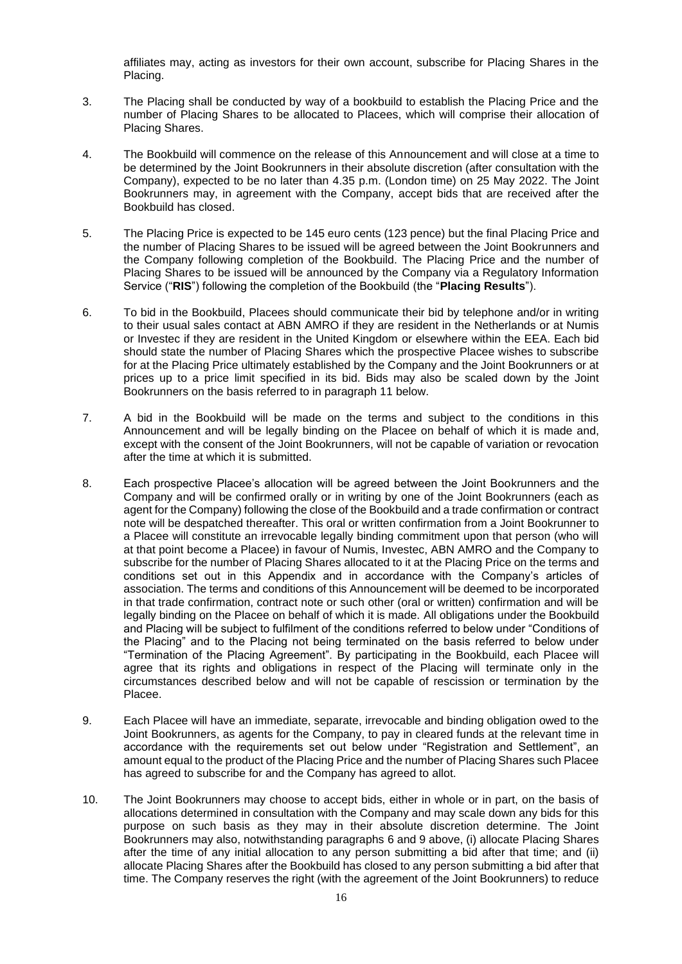affiliates may, acting as investors for their own account, subscribe for Placing Shares in the Placing.

- 3. The Placing shall be conducted by way of a bookbuild to establish the Placing Price and the number of Placing Shares to be allocated to Placees, which will comprise their allocation of Placing Shares.
- 4. The Bookbuild will commence on the release of this Announcement and will close at a time to be determined by the Joint Bookrunners in their absolute discretion (after consultation with the Company), expected to be no later than 4.35 p.m. (London time) on 25 May 2022. The Joint Bookrunners may, in agreement with the Company, accept bids that are received after the Bookbuild has closed.
- 5. The Placing Price is expected to be 145 euro cents (123 pence) but the final Placing Price and the number of Placing Shares to be issued will be agreed between the Joint Bookrunners and the Company following completion of the Bookbuild. The Placing Price and the number of Placing Shares to be issued will be announced by the Company via a Regulatory Information Service ("**RIS**") following the completion of the Bookbuild (the "**Placing Results**").
- <span id="page-15-0"></span>6. To bid in the Bookbuild, Placees should communicate their bid by telephone and/or in writing to their usual sales contact at ABN AMRO if they are resident in the Netherlands or at Numis or Investec if they are resident in the United Kingdom or elsewhere within the EEA. Each bid should state the number of Placing Shares which the prospective Placee wishes to subscribe for at the Placing Price ultimately established by the Company and the Joint Bookrunners or at prices up to a price limit specified in its bid. Bids may also be scaled down by the Joint Bookrunners on the basis referred to in paragraph 11 below.
- 7. A bid in the Bookbuild will be made on the terms and subject to the conditions in this Announcement and will be legally binding on the Placee on behalf of which it is made and, except with the consent of the Joint Bookrunners, will not be capable of variation or revocation after the time at which it is submitted.
- 8. Each prospective Placee's allocation will be agreed between the Joint Bookrunners and the Company and will be confirmed orally or in writing by one of the Joint Bookrunners (each as agent for the Company) following the close of the Bookbuild and a trade confirmation or contract note will be despatched thereafter. This oral or written confirmation from a Joint Bookrunner to a Placee will constitute an irrevocable legally binding commitment upon that person (who will at that point become a Placee) in favour of Numis, Investec, ABN AMRO and the Company to subscribe for the number of Placing Shares allocated to it at the Placing Price on the terms and conditions set out in this Appendix and in accordance with the Company's articles of association. The terms and conditions of this Announcement will be deemed to be incorporated in that trade confirmation, contract note or such other (oral or written) confirmation and will be legally binding on the Placee on behalf of which it is made. All obligations under the Bookbuild and Placing will be subject to fulfilment of the conditions referred to below under "Conditions of the Placing" and to the Placing not being terminated on the basis referred to below under "Termination of the Placing Agreement". By participating in the Bookbuild, each Placee will agree that its rights and obligations in respect of the Placing will terminate only in the circumstances described below and will not be capable of rescission or termination by the Placee.
- 9. Each Placee will have an immediate, separate, irrevocable and binding obligation owed to the Joint Bookrunners, as agents for the Company, to pay in cleared funds at the relevant time in accordance with the requirements set out below under "Registration and Settlement", an amount equal to the product of the Placing Price and the number of Placing Shares such Placee has agreed to subscribe for and the Company has agreed to allot.
- 10. The Joint Bookrunners may choose to accept bids, either in whole or in part, on the basis of allocations determined in consultation with the Company and may scale down any bids for this purpose on such basis as they may in their absolute discretion determine. The Joint Bookrunners may also, notwithstanding paragraphs [6](#page-15-0) and 9 above, (i) allocate Placing Shares after the time of any initial allocation to any person submitting a bid after that time; and (ii) allocate Placing Shares after the Bookbuild has closed to any person submitting a bid after that time. The Company reserves the right (with the agreement of the Joint Bookrunners) to reduce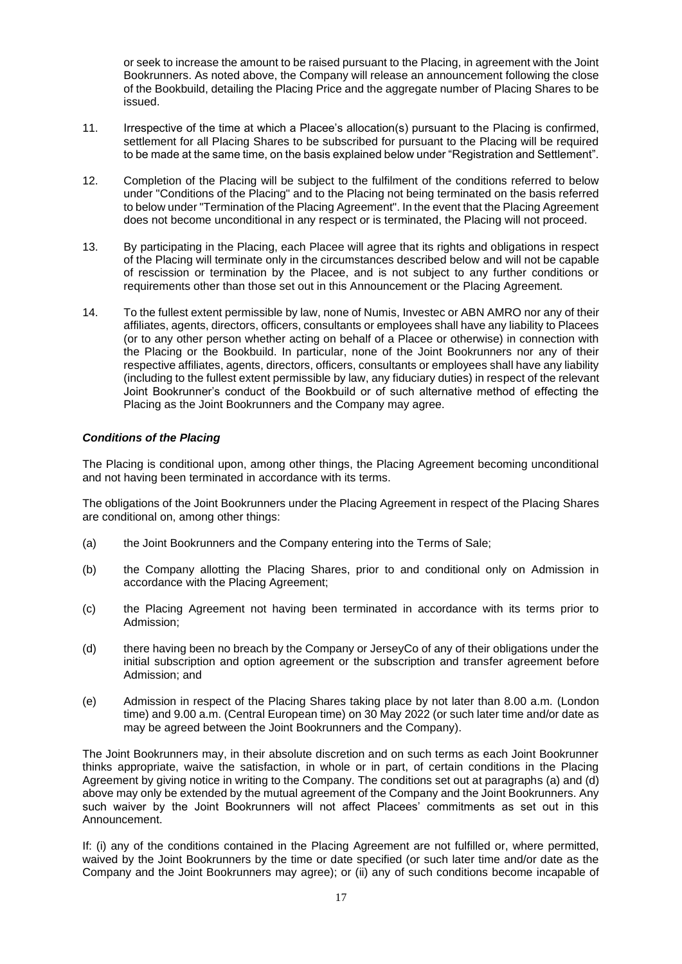or seek to increase the amount to be raised pursuant to the Placing, in agreement with the Joint Bookrunners. As noted above, the Company will release an announcement following the close of the Bookbuild, detailing the Placing Price and the aggregate number of Placing Shares to be issued.

- 11. Irrespective of the time at which a Placee's allocation(s) pursuant to the Placing is confirmed, settlement for all Placing Shares to be subscribed for pursuant to the Placing will be required to be made at the same time, on the basis explained below under "Registration and Settlement".
- 12. Completion of the Placing will be subject to the fulfilment of the conditions referred to below under "Conditions of the Placing" and to the Placing not being terminated on the basis referred to below under "Termination of the Placing Agreement". In the event that the Placing Agreement does not become unconditional in any respect or is terminated, the Placing will not proceed.
- 13. By participating in the Placing, each Placee will agree that its rights and obligations in respect of the Placing will terminate only in the circumstances described below and will not be capable of rescission or termination by the Placee, and is not subject to any further conditions or requirements other than those set out in this Announcement or the Placing Agreement.
- 14. To the fullest extent permissible by law, none of Numis, Investec or ABN AMRO nor any of their affiliates, agents, directors, officers, consultants or employees shall have any liability to Placees (or to any other person whether acting on behalf of a Placee or otherwise) in connection with the Placing or the Bookbuild. In particular, none of the Joint Bookrunners nor any of their respective affiliates, agents, directors, officers, consultants or employees shall have any liability (including to the fullest extent permissible by law, any fiduciary duties) in respect of the relevant Joint Bookrunner's conduct of the Bookbuild or of such alternative method of effecting the Placing as the Joint Bookrunners and the Company may agree.

## *Conditions of the Placing*

The Placing is conditional upon, among other things, the Placing Agreement becoming unconditional and not having been terminated in accordance with its terms.

The obligations of the Joint Bookrunners under the Placing Agreement in respect of the Placing Shares are conditional on, among other things:

- (a) the Joint Bookrunners and the Company entering into the Terms of Sale;
- (b) the Company allotting the Placing Shares, prior to and conditional only on Admission in accordance with the Placing Agreement;
- (c) the Placing Agreement not having been terminated in accordance with its terms prior to Admission;
- <span id="page-16-0"></span>(d) there having been no breach by the Company or JerseyCo of any of their obligations under the initial subscription and option agreement or the subscription and transfer agreement before Admission; and
- (e) Admission in respect of the Placing Shares taking place by not later than 8.00 a.m. (London time) and 9.00 a.m. (Central European time) on 30 May 2022 (or such later time and/or date as may be agreed between the Joint Bookrunners and the Company).

The Joint Bookrunners may, in their absolute discretion and on such terms as each Joint Bookrunner thinks appropriate, waive the satisfaction, in whole or in part, of certain conditions in the Placing Agreement by giving notice in writing to the Company. The conditions set out at paragraphs (a) and [\(d\)](#page-16-0) above may only be extended by the mutual agreement of the Company and the Joint Bookrunners. Any such waiver by the Joint Bookrunners will not affect Placees' commitments as set out in this Announcement.

If: (i) any of the conditions contained in the Placing Agreement are not fulfilled or, where permitted, waived by the Joint Bookrunners by the time or date specified (or such later time and/or date as the Company and the Joint Bookrunners may agree); or (ii) any of such conditions become incapable of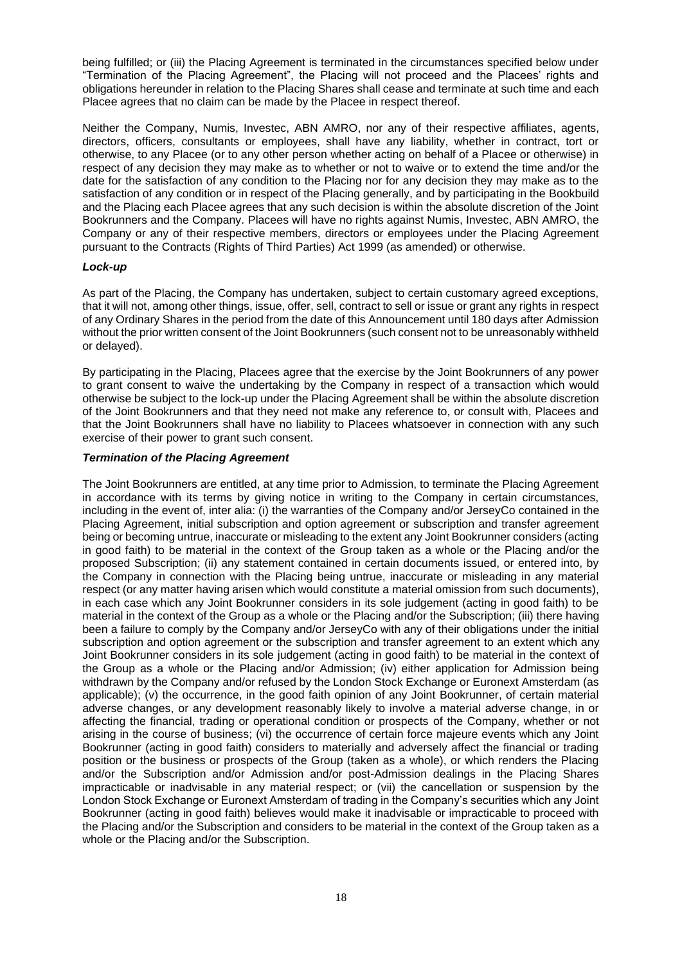being fulfilled; or (iii) the Placing Agreement is terminated in the circumstances specified below under "Termination of the Placing Agreement", the Placing will not proceed and the Placees' rights and obligations hereunder in relation to the Placing Shares shall cease and terminate at such time and each Placee agrees that no claim can be made by the Placee in respect thereof.

Neither the Company, Numis, Investec, ABN AMRO, nor any of their respective affiliates, agents, directors, officers, consultants or employees, shall have any liability, whether in contract, tort or otherwise, to any Placee (or to any other person whether acting on behalf of a Placee or otherwise) in respect of any decision they may make as to whether or not to waive or to extend the time and/or the date for the satisfaction of any condition to the Placing nor for any decision they may make as to the satisfaction of any condition or in respect of the Placing generally, and by participating in the Bookbuild and the Placing each Placee agrees that any such decision is within the absolute discretion of the Joint Bookrunners and the Company. Placees will have no rights against Numis, Investec, ABN AMRO, the Company or any of their respective members, directors or employees under the Placing Agreement pursuant to the Contracts (Rights of Third Parties) Act 1999 (as amended) or otherwise.

## *Lock-up*

As part of the Placing, the Company has undertaken, subject to certain customary agreed exceptions, that it will not, among other things, issue, offer, sell, contract to sell or issue or grant any rights in respect of any Ordinary Shares in the period from the date of this Announcement until 180 days after Admission without the prior written consent of the Joint Bookrunners (such consent not to be unreasonably withheld or delayed).

By participating in the Placing, Placees agree that the exercise by the Joint Bookrunners of any power to grant consent to waive the undertaking by the Company in respect of a transaction which would otherwise be subject to the lock-up under the Placing Agreement shall be within the absolute discretion of the Joint Bookrunners and that they need not make any reference to, or consult with, Placees and that the Joint Bookrunners shall have no liability to Placees whatsoever in connection with any such exercise of their power to grant such consent.

## *Termination of the Placing Agreement*

The Joint Bookrunners are entitled, at any time prior to Admission, to terminate the Placing Agreement in accordance with its terms by giving notice in writing to the Company in certain circumstances, including in the event of, inter alia: (i) the warranties of the Company and/or JerseyCo contained in the Placing Agreement, initial subscription and option agreement or subscription and transfer agreement being or becoming untrue, inaccurate or misleading to the extent any Joint Bookrunner considers (acting in good faith) to be material in the context of the Group taken as a whole or the Placing and/or the proposed Subscription; (ii) any statement contained in certain documents issued, or entered into, by the Company in connection with the Placing being untrue, inaccurate or misleading in any material respect (or any matter having arisen which would constitute a material omission from such documents), in each case which any Joint Bookrunner considers in its sole judgement (acting in good faith) to be material in the context of the Group as a whole or the Placing and/or the Subscription; (iii) there having been a failure to comply by the Company and/or JerseyCo with any of their obligations under the initial subscription and option agreement or the subscription and transfer agreement to an extent which any Joint Bookrunner considers in its sole judgement (acting in good faith) to be material in the context of the Group as a whole or the Placing and/or Admission; (iv) either application for Admission being withdrawn by the Company and/or refused by the London Stock Exchange or Euronext Amsterdam (as applicable); (v) the occurrence, in the good faith opinion of any Joint Bookrunner, of certain material adverse changes, or any development reasonably likely to involve a material adverse change, in or affecting the financial, trading or operational condition or prospects of the Company, whether or not arising in the course of business; (vi) the occurrence of certain force majeure events which any Joint Bookrunner (acting in good faith) considers to materially and adversely affect the financial or trading position or the business or prospects of the Group (taken as a whole), or which renders the Placing and/or the Subscription and/or Admission and/or post-Admission dealings in the Placing Shares impracticable or inadvisable in any material respect; or (vii) the cancellation or suspension by the London Stock Exchange or Euronext Amsterdam of trading in the Company's securities which any Joint Bookrunner (acting in good faith) believes would make it inadvisable or impracticable to proceed with the Placing and/or the Subscription and considers to be material in the context of the Group taken as a whole or the Placing and/or the Subscription.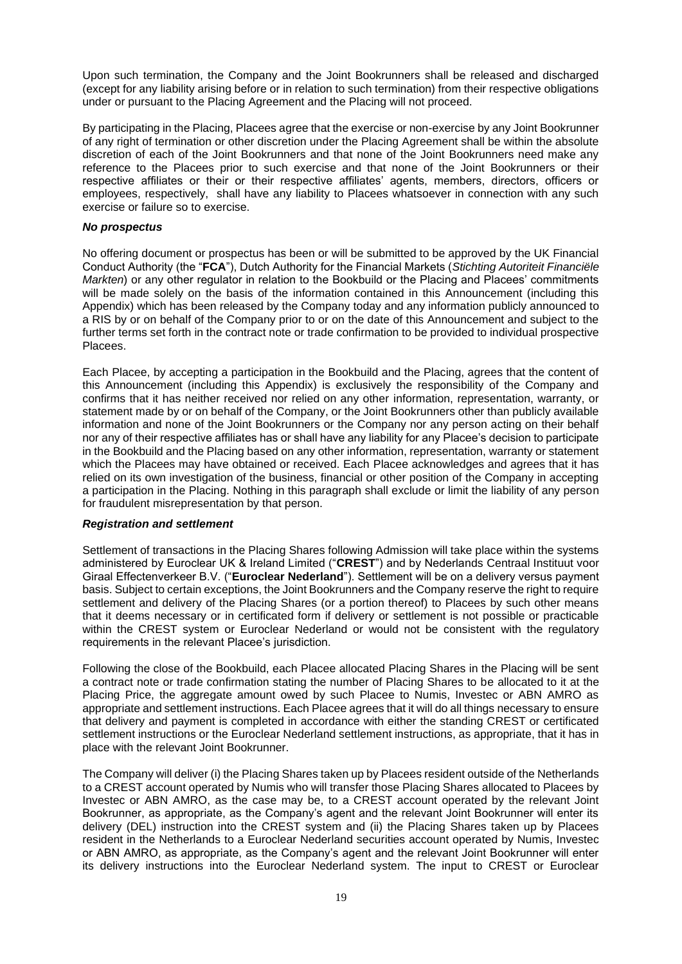Upon such termination, the Company and the Joint Bookrunners shall be released and discharged (except for any liability arising before or in relation to such termination) from their respective obligations under or pursuant to the Placing Agreement and the Placing will not proceed.

By participating in the Placing, Placees agree that the exercise or non-exercise by any Joint Bookrunner of any right of termination or other discretion under the Placing Agreement shall be within the absolute discretion of each of the Joint Bookrunners and that none of the Joint Bookrunners need make any reference to the Placees prior to such exercise and that none of the Joint Bookrunners or their respective affiliates or their or their respective affiliates' agents, members, directors, officers or employees, respectively, shall have any liability to Placees whatsoever in connection with any such exercise or failure so to exercise.

#### *No prospectus*

No offering document or prospectus has been or will be submitted to be approved by the UK Financial Conduct Authority (the "**FCA**"), Dutch Authority for the Financial Markets (*Stichting Autoriteit Financiële Markten*) or any other regulator in relation to the Bookbuild or the Placing and Placees' commitments will be made solely on the basis of the information contained in this Announcement (including this Appendix) which has been released by the Company today and any information publicly announced to a RIS by or on behalf of the Company prior to or on the date of this Announcement and subject to the further terms set forth in the contract note or trade confirmation to be provided to individual prospective Placees.

Each Placee, by accepting a participation in the Bookbuild and the Placing, agrees that the content of this Announcement (including this Appendix) is exclusively the responsibility of the Company and confirms that it has neither received nor relied on any other information, representation, warranty, or statement made by or on behalf of the Company, or the Joint Bookrunners other than publicly available information and none of the Joint Bookrunners or the Company nor any person acting on their behalf nor any of their respective affiliates has or shall have any liability for any Placee's decision to participate in the Bookbuild and the Placing based on any other information, representation, warranty or statement which the Placees may have obtained or received. Each Placee acknowledges and agrees that it has relied on its own investigation of the business, financial or other position of the Company in accepting a participation in the Placing. Nothing in this paragraph shall exclude or limit the liability of any person for fraudulent misrepresentation by that person.

#### *Registration and settlement*

Settlement of transactions in the Placing Shares following Admission will take place within the systems administered by Euroclear UK & Ireland Limited ("**CREST**") and by Nederlands Centraal Instituut voor Giraal Effectenverkeer B.V. ("**Euroclear Nederland**"). Settlement will be on a delivery versus payment basis. Subject to certain exceptions, the Joint Bookrunners and the Company reserve the right to require settlement and delivery of the Placing Shares (or a portion thereof) to Placees by such other means that it deems necessary or in certificated form if delivery or settlement is not possible or practicable within the CREST system or Euroclear Nederland or would not be consistent with the regulatory requirements in the relevant Placee's jurisdiction.

Following the close of the Bookbuild, each Placee allocated Placing Shares in the Placing will be sent a contract note or trade confirmation stating the number of Placing Shares to be allocated to it at the Placing Price, the aggregate amount owed by such Placee to Numis, Investec or ABN AMRO as appropriate and settlement instructions. Each Placee agrees that it will do all things necessary to ensure that delivery and payment is completed in accordance with either the standing CREST or certificated settlement instructions or the Euroclear Nederland settlement instructions, as appropriate, that it has in place with the relevant Joint Bookrunner.

The Company will deliver (i) the Placing Shares taken up by Placees resident outside of the Netherlands to a CREST account operated by Numis who will transfer those Placing Shares allocated to Placees by Investec or ABN AMRO, as the case may be, to a CREST account operated by the relevant Joint Bookrunner, as appropriate, as the Company's agent and the relevant Joint Bookrunner will enter its delivery (DEL) instruction into the CREST system and (ii) the Placing Shares taken up by Placees resident in the Netherlands to a Euroclear Nederland securities account operated by Numis, Investec or ABN AMRO, as appropriate, as the Company's agent and the relevant Joint Bookrunner will enter its delivery instructions into the Euroclear Nederland system. The input to CREST or Euroclear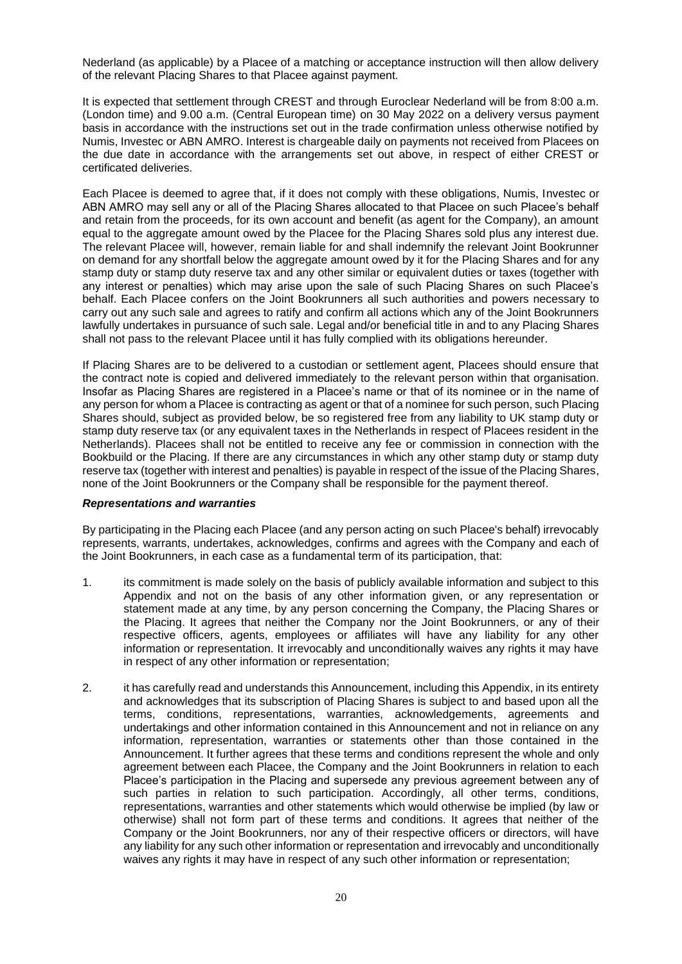Nederland (as applicable) by a Placee of a matching or acceptance instruction will then allow delivery of the relevant Placing Shares to that Placee against payment.

It is expected that settlement through CREST and through Euroclear Nederland will be from 8:00 a.m. (London time) and 9.00 a.m. (Central European time) on 30 May 2022 on a delivery versus payment basis in accordance with the instructions set out in the trade confirmation unless otherwise notified by Numis, Investec or ABN AMRO. Interest is chargeable daily on payments not received from Placees on the due date in accordance with the arrangements set out above, in respect of either CREST or certificated deliveries.

Each Placee is deemed to agree that, if it does not comply with these obligations, Numis, Investec or ABN AMRO may sell any or all of the Placing Shares allocated to that Placee on such Placee's behalf and retain from the proceeds, for its own account and benefit (as agent for the Company), an amount equal to the aggregate amount owed by the Placee for the Placing Shares sold plus any interest due. The relevant Placee will, however, remain liable for and shall indemnify the relevant Joint Bookrunner on demand for any shortfall below the aggregate amount owed by it for the Placing Shares and for any stamp duty or stamp duty reserve tax and any other similar or equivalent duties or taxes (together with any interest or penalties) which may arise upon the sale of such Placing Shares on such Placee's behalf. Each Placee confers on the Joint Bookrunners all such authorities and powers necessary to carry out any such sale and agrees to ratify and confirm all actions which any of the Joint Bookrunners lawfully undertakes in pursuance of such sale. Legal and/or beneficial title in and to any Placing Shares shall not pass to the relevant Placee until it has fully complied with its obligations hereunder.

If Placing Shares are to be delivered to a custodian or settlement agent, Placees should ensure that the contract note is copied and delivered immediately to the relevant person within that organisation. Insofar as Placing Shares are registered in a Placee's name or that of its nominee or in the name of any person for whom a Placee is contracting as agent or that of a nominee for such person, such Placing Shares should, subject as provided below, be so registered free from any liability to UK stamp duty or stamp duty reserve tax (or any equivalent taxes in the Netherlands in respect of Placees resident in the Netherlands). Placees shall not be entitled to receive any fee or commission in connection with the Bookbuild or the Placing. If there are any circumstances in which any other stamp duty or stamp duty reserve tax (together with interest and penalties) is payable in respect of the issue of the Placing Shares, none of the Joint Bookrunners or the Company shall be responsible for the payment thereof.

### *Representations and warranties*

By participating in the Placing each Placee (and any person acting on such Placee's behalf) irrevocably represents, warrants, undertakes, acknowledges, confirms and agrees with the Company and each of the Joint Bookrunners, in each case as a fundamental term of its participation, that:

- 1. its commitment is made solely on the basis of publicly available information and subject to this Appendix and not on the basis of any other information given, or any representation or statement made at any time, by any person concerning the Company, the Placing Shares or the Placing. It agrees that neither the Company nor the Joint Bookrunners, or any of their respective officers, agents, employees or affiliates will have any liability for any other information or representation. It irrevocably and unconditionally waives any rights it may have in respect of any other information or representation;
- 2. it has carefully read and understands this Announcement, including this Appendix, in its entirety and acknowledges that its subscription of Placing Shares is subject to and based upon all the terms, conditions, representations, warranties, acknowledgements, agreements and undertakings and other information contained in this Announcement and not in reliance on any information, representation, warranties or statements other than those contained in the Announcement. It further agrees that these terms and conditions represent the whole and only agreement between each Placee, the Company and the Joint Bookrunners in relation to each Placee's participation in the Placing and supersede any previous agreement between any of such parties in relation to such participation. Accordingly, all other terms, conditions, representations, warranties and other statements which would otherwise be implied (by law or otherwise) shall not form part of these terms and conditions. It agrees that neither of the Company or the Joint Bookrunners, nor any of their respective officers or directors, will have any liability for any such other information or representation and irrevocably and unconditionally waives any rights it may have in respect of any such other information or representation;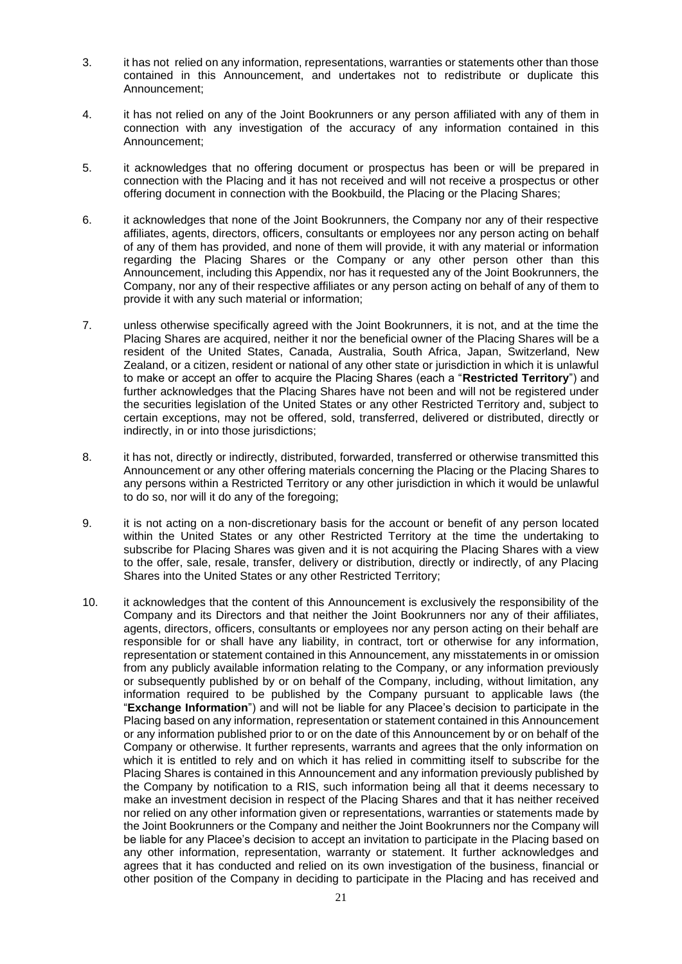- 3. it has not relied on any information, representations, warranties or statements other than those contained in this Announcement, and undertakes not to redistribute or duplicate this Announcement;
- 4. it has not relied on any of the Joint Bookrunners or any person affiliated with any of them in connection with any investigation of the accuracy of any information contained in this Announcement;
- 5. it acknowledges that no offering document or prospectus has been or will be prepared in connection with the Placing and it has not received and will not receive a prospectus or other offering document in connection with the Bookbuild, the Placing or the Placing Shares;
- 6. it acknowledges that none of the Joint Bookrunners, the Company nor any of their respective affiliates, agents, directors, officers, consultants or employees nor any person acting on behalf of any of them has provided, and none of them will provide, it with any material or information regarding the Placing Shares or the Company or any other person other than this Announcement, including this Appendix, nor has it requested any of the Joint Bookrunners, the Company, nor any of their respective affiliates or any person acting on behalf of any of them to provide it with any such material or information;
- 7. unless otherwise specifically agreed with the Joint Bookrunners, it is not, and at the time the Placing Shares are acquired, neither it nor the beneficial owner of the Placing Shares will be a resident of the United States, Canada, Australia, South Africa, Japan, Switzerland, New Zealand, or a citizen, resident or national of any other state or jurisdiction in which it is unlawful to make or accept an offer to acquire the Placing Shares (each a "**Restricted Territory**") and further acknowledges that the Placing Shares have not been and will not be registered under the securities legislation of the United States or any other Restricted Territory and, subject to certain exceptions, may not be offered, sold, transferred, delivered or distributed, directly or indirectly, in or into those jurisdictions;
- 8. it has not, directly or indirectly, distributed, forwarded, transferred or otherwise transmitted this Announcement or any other offering materials concerning the Placing or the Placing Shares to any persons within a Restricted Territory or any other jurisdiction in which it would be unlawful to do so, nor will it do any of the foregoing;
- 9. it is not acting on a non-discretionary basis for the account or benefit of any person located within the United States or any other Restricted Territory at the time the undertaking to subscribe for Placing Shares was given and it is not acquiring the Placing Shares with a view to the offer, sale, resale, transfer, delivery or distribution, directly or indirectly, of any Placing Shares into the United States or any other Restricted Territory;
- 10. it acknowledges that the content of this Announcement is exclusively the responsibility of the Company and its Directors and that neither the Joint Bookrunners nor any of their affiliates, agents, directors, officers, consultants or employees nor any person acting on their behalf are responsible for or shall have any liability, in contract, tort or otherwise for any information, representation or statement contained in this Announcement, any misstatements in or omission from any publicly available information relating to the Company, or any information previously or subsequently published by or on behalf of the Company, including, without limitation, any information required to be published by the Company pursuant to applicable laws (the "**Exchange Information**") and will not be liable for any Placee's decision to participate in the Placing based on any information, representation or statement contained in this Announcement or any information published prior to or on the date of this Announcement by or on behalf of the Company or otherwise. It further represents, warrants and agrees that the only information on which it is entitled to rely and on which it has relied in committing itself to subscribe for the Placing Shares is contained in this Announcement and any information previously published by the Company by notification to a RIS, such information being all that it deems necessary to make an investment decision in respect of the Placing Shares and that it has neither received nor relied on any other information given or representations, warranties or statements made by the Joint Bookrunners or the Company and neither the Joint Bookrunners nor the Company will be liable for any Placee's decision to accept an invitation to participate in the Placing based on any other information, representation, warranty or statement. It further acknowledges and agrees that it has conducted and relied on its own investigation of the business, financial or other position of the Company in deciding to participate in the Placing and has received and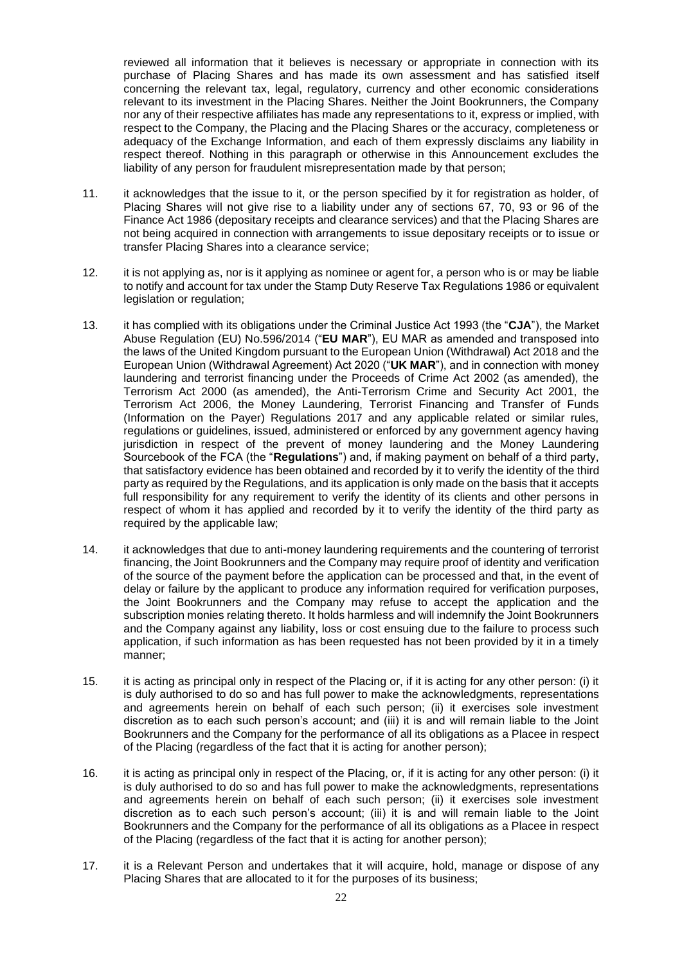reviewed all information that it believes is necessary or appropriate in connection with its purchase of Placing Shares and has made its own assessment and has satisfied itself concerning the relevant tax, legal, regulatory, currency and other economic considerations relevant to its investment in the Placing Shares. Neither the Joint Bookrunners, the Company nor any of their respective affiliates has made any representations to it, express or implied, with respect to the Company, the Placing and the Placing Shares or the accuracy, completeness or adequacy of the Exchange Information, and each of them expressly disclaims any liability in respect thereof. Nothing in this paragraph or otherwise in this Announcement excludes the liability of any person for fraudulent misrepresentation made by that person;

- 11. it acknowledges that the issue to it, or the person specified by it for registration as holder, of Placing Shares will not give rise to a liability under any of sections 67, 70, 93 or 96 of the Finance Act 1986 (depositary receipts and clearance services) and that the Placing Shares are not being acquired in connection with arrangements to issue depositary receipts or to issue or transfer Placing Shares into a clearance service;
- 12. it is not applying as, nor is it applying as nominee or agent for, a person who is or may be liable to notify and account for tax under the Stamp Duty Reserve Tax Regulations 1986 or equivalent legislation or regulation;
- 13. it has complied with its obligations under the Criminal Justice Act 1993 (the "**CJA**"), the Market Abuse Regulation (EU) No.596/2014 ("**EU MAR**"), EU MAR as amended and transposed into the laws of the United Kingdom pursuant to the European Union (Withdrawal) Act 2018 and the European Union (Withdrawal Agreement) Act 2020 ("**UK MAR**"), and in connection with money laundering and terrorist financing under the Proceeds of Crime Act 2002 (as amended), the Terrorism Act 2000 (as amended), the Anti-Terrorism Crime and Security Act 2001, the Terrorism Act 2006, the Money Laundering, Terrorist Financing and Transfer of Funds (Information on the Payer) Regulations 2017 and any applicable related or similar rules, regulations or guidelines, issued, administered or enforced by any government agency having jurisdiction in respect of the prevent of money laundering and the Money Laundering Sourcebook of the FCA (the "**Regulations**") and, if making payment on behalf of a third party, that satisfactory evidence has been obtained and recorded by it to verify the identity of the third party as required by the Regulations, and its application is only made on the basis that it accepts full responsibility for any requirement to verify the identity of its clients and other persons in respect of whom it has applied and recorded by it to verify the identity of the third party as required by the applicable law;
- 14. it acknowledges that due to anti-money laundering requirements and the countering of terrorist financing, the Joint Bookrunners and the Company may require proof of identity and verification of the source of the payment before the application can be processed and that, in the event of delay or failure by the applicant to produce any information required for verification purposes, the Joint Bookrunners and the Company may refuse to accept the application and the subscription monies relating thereto. It holds harmless and will indemnify the Joint Bookrunners and the Company against any liability, loss or cost ensuing due to the failure to process such application, if such information as has been requested has not been provided by it in a timely manner;
- 15. it is acting as principal only in respect of the Placing or, if it is acting for any other person: (i) it is duly authorised to do so and has full power to make the acknowledgments, representations and agreements herein on behalf of each such person; (ii) it exercises sole investment discretion as to each such person's account; and (iii) it is and will remain liable to the Joint Bookrunners and the Company for the performance of all its obligations as a Placee in respect of the Placing (regardless of the fact that it is acting for another person);
- 16. it is acting as principal only in respect of the Placing, or, if it is acting for any other person: (i) it is duly authorised to do so and has full power to make the acknowledgments, representations and agreements herein on behalf of each such person; (ii) it exercises sole investment discretion as to each such person's account; (iii) it is and will remain liable to the Joint Bookrunners and the Company for the performance of all its obligations as a Placee in respect of the Placing (regardless of the fact that it is acting for another person);
- 17. it is a Relevant Person and undertakes that it will acquire, hold, manage or dispose of any Placing Shares that are allocated to it for the purposes of its business;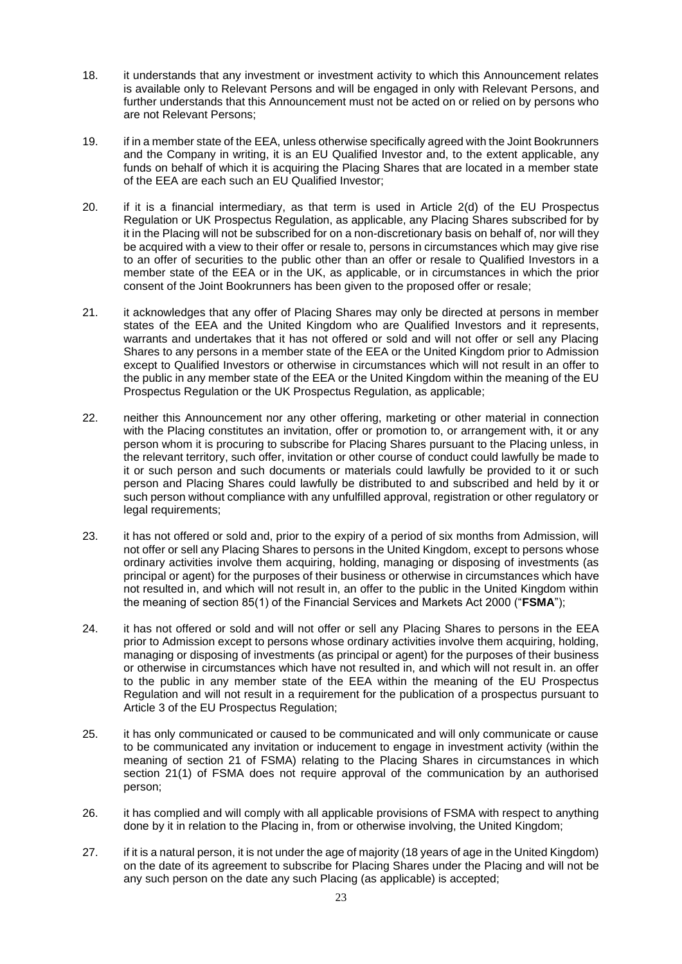- 18. it understands that any investment or investment activity to which this Announcement relates is available only to Relevant Persons and will be engaged in only with Relevant Persons, and further understands that this Announcement must not be acted on or relied on by persons who are not Relevant Persons;
- 19. if in a member state of the EEA, unless otherwise specifically agreed with the Joint Bookrunners and the Company in writing, it is an EU Qualified Investor and, to the extent applicable, any funds on behalf of which it is acquiring the Placing Shares that are located in a member state of the EEA are each such an EU Qualified Investor;
- 20. if it is a financial intermediary, as that term is used in Article 2(d) of the EU Prospectus Regulation or UK Prospectus Regulation, as applicable, any Placing Shares subscribed for by it in the Placing will not be subscribed for on a non-discretionary basis on behalf of, nor will they be acquired with a view to their offer or resale to, persons in circumstances which may give rise to an offer of securities to the public other than an offer or resale to Qualified Investors in a member state of the EEA or in the UK, as applicable, or in circumstances in which the prior consent of the Joint Bookrunners has been given to the proposed offer or resale;
- 21. it acknowledges that any offer of Placing Shares may only be directed at persons in member states of the EEA and the United Kingdom who are Qualified Investors and it represents, warrants and undertakes that it has not offered or sold and will not offer or sell any Placing Shares to any persons in a member state of the EEA or the United Kingdom prior to Admission except to Qualified Investors or otherwise in circumstances which will not result in an offer to the public in any member state of the EEA or the United Kingdom within the meaning of the EU Prospectus Regulation or the UK Prospectus Regulation, as applicable;
- 22. neither this Announcement nor any other offering, marketing or other material in connection with the Placing constitutes an invitation, offer or promotion to, or arrangement with, it or any person whom it is procuring to subscribe for Placing Shares pursuant to the Placing unless, in the relevant territory, such offer, invitation or other course of conduct could lawfully be made to it or such person and such documents or materials could lawfully be provided to it or such person and Placing Shares could lawfully be distributed to and subscribed and held by it or such person without compliance with any unfulfilled approval, registration or other regulatory or legal requirements;
- 23. it has not offered or sold and, prior to the expiry of a period of six months from Admission, will not offer or sell any Placing Shares to persons in the United Kingdom, except to persons whose ordinary activities involve them acquiring, holding, managing or disposing of investments (as principal or agent) for the purposes of their business or otherwise in circumstances which have not resulted in, and which will not result in, an offer to the public in the United Kingdom within the meaning of section 85(1) of the Financial Services and Markets Act 2000 ("**FSMA**");
- 24. it has not offered or sold and will not offer or sell any Placing Shares to persons in the EEA prior to Admission except to persons whose ordinary activities involve them acquiring, holding, managing or disposing of investments (as principal or agent) for the purposes of their business or otherwise in circumstances which have not resulted in, and which will not result in. an offer to the public in any member state of the EEA within the meaning of the EU Prospectus Regulation and will not result in a requirement for the publication of a prospectus pursuant to Article 3 of the EU Prospectus Regulation;
- 25. it has only communicated or caused to be communicated and will only communicate or cause to be communicated any invitation or inducement to engage in investment activity (within the meaning of section 21 of FSMA) relating to the Placing Shares in circumstances in which section 21(1) of FSMA does not require approval of the communication by an authorised person;
- 26. it has complied and will comply with all applicable provisions of FSMA with respect to anything done by it in relation to the Placing in, from or otherwise involving, the United Kingdom;
- 27. if it is a natural person, it is not under the age of majority (18 years of age in the United Kingdom) on the date of its agreement to subscribe for Placing Shares under the Placing and will not be any such person on the date any such Placing (as applicable) is accepted;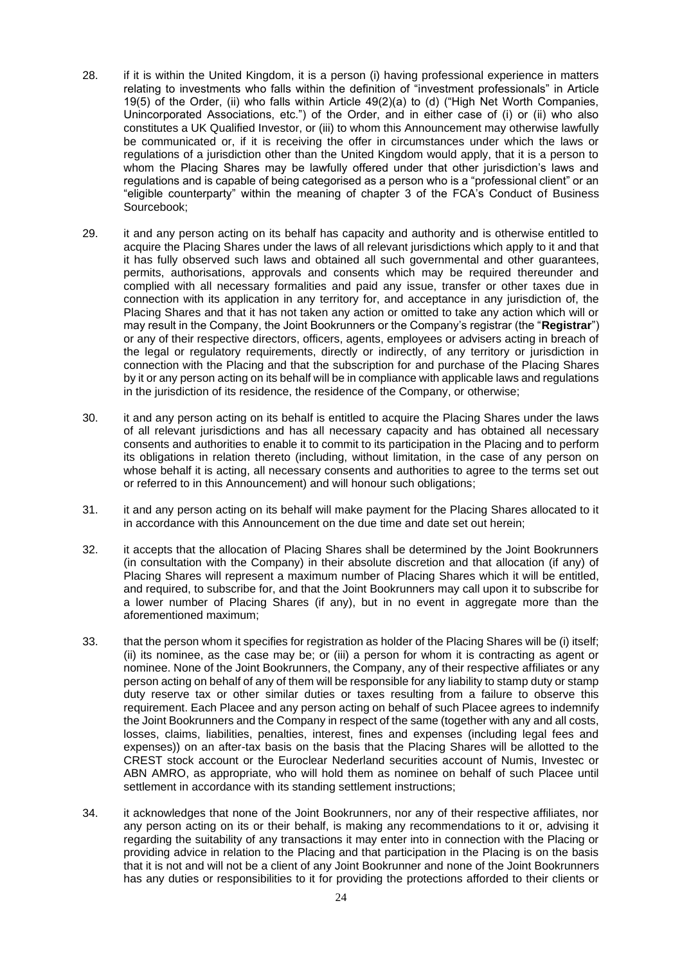- 28. if it is within the United Kingdom, it is a person (i) having professional experience in matters relating to investments who falls within the definition of "investment professionals" in Article 19(5) of the Order, (ii) who falls within Article 49(2)(a) to (d) ("High Net Worth Companies, Unincorporated Associations, etc.") of the Order, and in either case of (i) or (ii) who also constitutes a UK Qualified Investor, or (iii) to whom this Announcement may otherwise lawfully be communicated or, if it is receiving the offer in circumstances under which the laws or regulations of a jurisdiction other than the United Kingdom would apply, that it is a person to whom the Placing Shares may be lawfully offered under that other jurisdiction's laws and regulations and is capable of being categorised as a person who is a "professional client" or an "eligible counterparty" within the meaning of chapter 3 of the FCA's Conduct of Business Sourcebook;
- 29. it and any person acting on its behalf has capacity and authority and is otherwise entitled to acquire the Placing Shares under the laws of all relevant jurisdictions which apply to it and that it has fully observed such laws and obtained all such governmental and other guarantees, permits, authorisations, approvals and consents which may be required thereunder and complied with all necessary formalities and paid any issue, transfer or other taxes due in connection with its application in any territory for, and acceptance in any jurisdiction of, the Placing Shares and that it has not taken any action or omitted to take any action which will or may result in the Company, the Joint Bookrunners or the Company's registrar (the "**Registrar**") or any of their respective directors, officers, agents, employees or advisers acting in breach of the legal or regulatory requirements, directly or indirectly, of any territory or jurisdiction in connection with the Placing and that the subscription for and purchase of the Placing Shares by it or any person acting on its behalf will be in compliance with applicable laws and regulations in the jurisdiction of its residence, the residence of the Company, or otherwise;
- 30. it and any person acting on its behalf is entitled to acquire the Placing Shares under the laws of all relevant jurisdictions and has all necessary capacity and has obtained all necessary consents and authorities to enable it to commit to its participation in the Placing and to perform its obligations in relation thereto (including, without limitation, in the case of any person on whose behalf it is acting, all necessary consents and authorities to agree to the terms set out or referred to in this Announcement) and will honour such obligations;
- 31. it and any person acting on its behalf will make payment for the Placing Shares allocated to it in accordance with this Announcement on the due time and date set out herein;
- 32. it accepts that the allocation of Placing Shares shall be determined by the Joint Bookrunners (in consultation with the Company) in their absolute discretion and that allocation (if any) of Placing Shares will represent a maximum number of Placing Shares which it will be entitled, and required, to subscribe for, and that the Joint Bookrunners may call upon it to subscribe for a lower number of Placing Shares (if any), but in no event in aggregate more than the aforementioned maximum;
- 33. that the person whom it specifies for registration as holder of the Placing Shares will be (i) itself; (ii) its nominee, as the case may be; or (iii) a person for whom it is contracting as agent or nominee. None of the Joint Bookrunners, the Company, any of their respective affiliates or any person acting on behalf of any of them will be responsible for any liability to stamp duty or stamp duty reserve tax or other similar duties or taxes resulting from a failure to observe this requirement. Each Placee and any person acting on behalf of such Placee agrees to indemnify the Joint Bookrunners and the Company in respect of the same (together with any and all costs, losses, claims, liabilities, penalties, interest, fines and expenses (including legal fees and expenses)) on an after-tax basis on the basis that the Placing Shares will be allotted to the CREST stock account or the Euroclear Nederland securities account of Numis, Investec or ABN AMRO, as appropriate, who will hold them as nominee on behalf of such Placee until settlement in accordance with its standing settlement instructions;
- 34. it acknowledges that none of the Joint Bookrunners, nor any of their respective affiliates, nor any person acting on its or their behalf, is making any recommendations to it or, advising it regarding the suitability of any transactions it may enter into in connection with the Placing or providing advice in relation to the Placing and that participation in the Placing is on the basis that it is not and will not be a client of any Joint Bookrunner and none of the Joint Bookrunners has any duties or responsibilities to it for providing the protections afforded to their clients or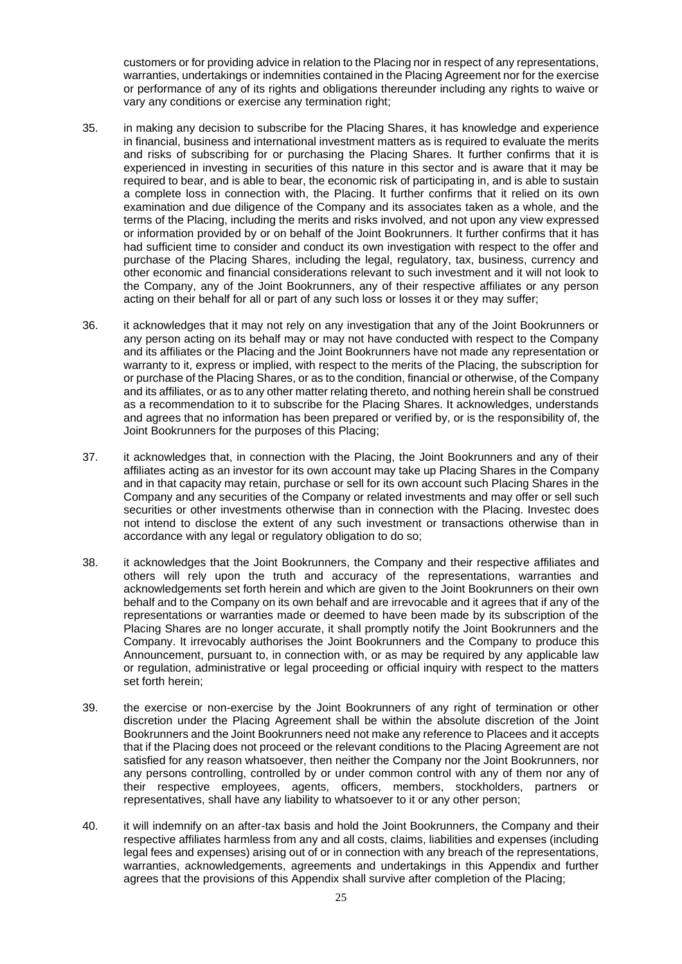customers or for providing advice in relation to the Placing nor in respect of any representations, warranties, undertakings or indemnities contained in the Placing Agreement nor for the exercise or performance of any of its rights and obligations thereunder including any rights to waive or vary any conditions or exercise any termination right;

- 35. in making any decision to subscribe for the Placing Shares, it has knowledge and experience in financial, business and international investment matters as is required to evaluate the merits and risks of subscribing for or purchasing the Placing Shares. It further confirms that it is experienced in investing in securities of this nature in this sector and is aware that it may be required to bear, and is able to bear, the economic risk of participating in, and is able to sustain a complete loss in connection with, the Placing. It further confirms that it relied on its own examination and due diligence of the Company and its associates taken as a whole, and the terms of the Placing, including the merits and risks involved, and not upon any view expressed or information provided by or on behalf of the Joint Bookrunners. It further confirms that it has had sufficient time to consider and conduct its own investigation with respect to the offer and purchase of the Placing Shares, including the legal, regulatory, tax, business, currency and other economic and financial considerations relevant to such investment and it will not look to the Company, any of the Joint Bookrunners, any of their respective affiliates or any person acting on their behalf for all or part of any such loss or losses it or they may suffer;
- 36. it acknowledges that it may not rely on any investigation that any of the Joint Bookrunners or any person acting on its behalf may or may not have conducted with respect to the Company and its affiliates or the Placing and the Joint Bookrunners have not made any representation or warranty to it, express or implied, with respect to the merits of the Placing, the subscription for or purchase of the Placing Shares, or as to the condition, financial or otherwise, of the Company and its affiliates, or as to any other matter relating thereto, and nothing herein shall be construed as a recommendation to it to subscribe for the Placing Shares. It acknowledges, understands and agrees that no information has been prepared or verified by, or is the responsibility of, the Joint Bookrunners for the purposes of this Placing;
- 37. it acknowledges that, in connection with the Placing, the Joint Bookrunners and any of their affiliates acting as an investor for its own account may take up Placing Shares in the Company and in that capacity may retain, purchase or sell for its own account such Placing Shares in the Company and any securities of the Company or related investments and may offer or sell such securities or other investments otherwise than in connection with the Placing. Investec does not intend to disclose the extent of any such investment or transactions otherwise than in accordance with any legal or regulatory obligation to do so:
- 38. it acknowledges that the Joint Bookrunners, the Company and their respective affiliates and others will rely upon the truth and accuracy of the representations, warranties and acknowledgements set forth herein and which are given to the Joint Bookrunners on their own behalf and to the Company on its own behalf and are irrevocable and it agrees that if any of the representations or warranties made or deemed to have been made by its subscription of the Placing Shares are no longer accurate, it shall promptly notify the Joint Bookrunners and the Company. It irrevocably authorises the Joint Bookrunners and the Company to produce this Announcement, pursuant to, in connection with, or as may be required by any applicable law or regulation, administrative or legal proceeding or official inquiry with respect to the matters set forth herein;
- 39. the exercise or non-exercise by the Joint Bookrunners of any right of termination or other discretion under the Placing Agreement shall be within the absolute discretion of the Joint Bookrunners and the Joint Bookrunners need not make any reference to Placees and it accepts that if the Placing does not proceed or the relevant conditions to the Placing Agreement are not satisfied for any reason whatsoever, then neither the Company nor the Joint Bookrunners, nor any persons controlling, controlled by or under common control with any of them nor any of their respective employees, agents, officers, members, stockholders, partners or representatives, shall have any liability to whatsoever to it or any other person;
- 40. it will indemnify on an after-tax basis and hold the Joint Bookrunners, the Company and their respective affiliates harmless from any and all costs, claims, liabilities and expenses (including legal fees and expenses) arising out of or in connection with any breach of the representations, warranties, acknowledgements, agreements and undertakings in this Appendix and further agrees that the provisions of this Appendix shall survive after completion of the Placing;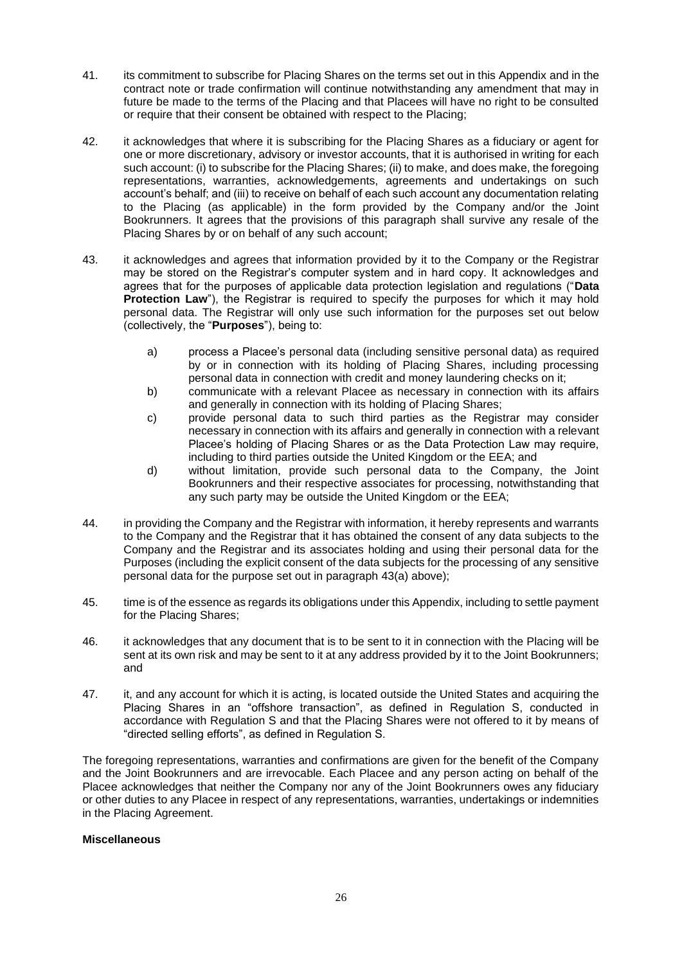- 41. its commitment to subscribe for Placing Shares on the terms set out in this Appendix and in the contract note or trade confirmation will continue notwithstanding any amendment that may in future be made to the terms of the Placing and that Placees will have no right to be consulted or require that their consent be obtained with respect to the Placing;
- 42. it acknowledges that where it is subscribing for the Placing Shares as a fiduciary or agent for one or more discretionary, advisory or investor accounts, that it is authorised in writing for each such account: (i) to subscribe for the Placing Shares; (ii) to make, and does make, the foregoing representations, warranties, acknowledgements, agreements and undertakings on such account's behalf; and (iii) to receive on behalf of each such account any documentation relating to the Placing (as applicable) in the form provided by the Company and/or the Joint Bookrunners. It agrees that the provisions of this paragraph shall survive any resale of the Placing Shares by or on behalf of any such account;
- <span id="page-25-0"></span>43. it acknowledges and agrees that information provided by it to the Company or the Registrar may be stored on the Registrar's computer system and in hard copy. It acknowledges and agrees that for the purposes of applicable data protection legislation and regulations ("**Data Protection Law**"), the Registrar is required to specify the purposes for which it may hold personal data. The Registrar will only use such information for the purposes set out below (collectively, the "**Purposes**"), being to:
	- a) process a Placee's personal data (including sensitive personal data) as required by or in connection with its holding of Placing Shares, including processing personal data in connection with credit and money laundering checks on it;
	- b) communicate with a relevant Placee as necessary in connection with its affairs and generally in connection with its holding of Placing Shares;
	- c) provide personal data to such third parties as the Registrar may consider necessary in connection with its affairs and generally in connection with a relevant Placee's holding of Placing Shares or as the Data Protection Law may require, including to third parties outside the United Kingdom or the EEA; and
	- d) without limitation, provide such personal data to the Company, the Joint Bookrunners and their respective associates for processing, notwithstanding that any such party may be outside the United Kingdom or the EEA;
- 44. in providing the Company and the Registrar with information, it hereby represents and warrants to the Company and the Registrar that it has obtained the consent of any data subjects to the Company and the Registrar and its associates holding and using their personal data for the Purposes (including the explicit consent of the data subjects for the processing of any sensitive personal data for the purpose set out in paragraph [43\(](#page-25-0)a) above);
- 45. time is of the essence as regards its obligations under this Appendix, including to settle payment for the Placing Shares;
- 46. it acknowledges that any document that is to be sent to it in connection with the Placing will be sent at its own risk and may be sent to it at any address provided by it to the Joint Bookrunners; and
- 47. it, and any account for which it is acting, is located outside the United States and acquiring the Placing Shares in an "offshore transaction", as defined in Regulation S, conducted in accordance with Regulation S and that the Placing Shares were not offered to it by means of "directed selling efforts", as defined in Regulation S.

The foregoing representations, warranties and confirmations are given for the benefit of the Company and the Joint Bookrunners and are irrevocable. Each Placee and any person acting on behalf of the Placee acknowledges that neither the Company nor any of the Joint Bookrunners owes any fiduciary or other duties to any Placee in respect of any representations, warranties, undertakings or indemnities in the Placing Agreement.

# **Miscellaneous**